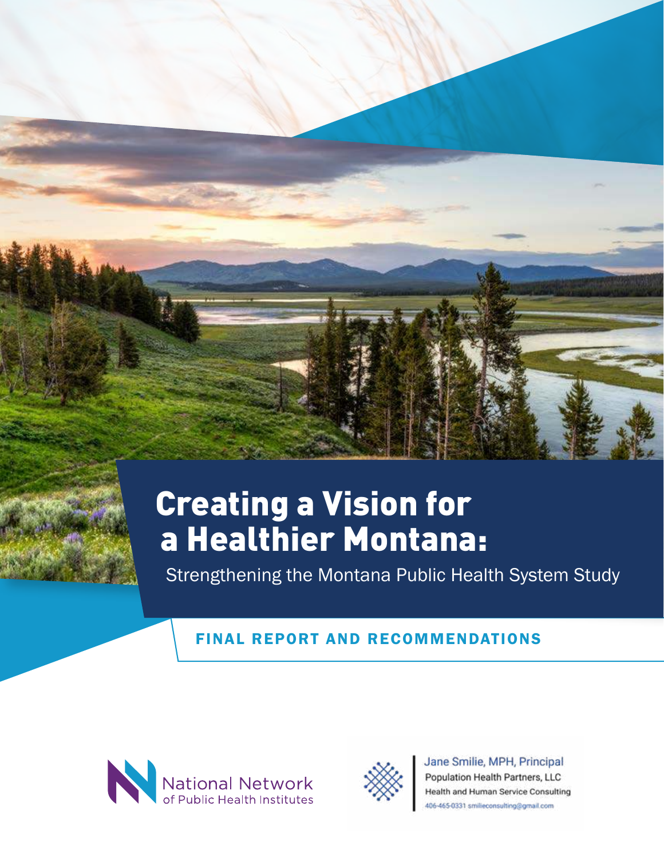# Creating a Vision for a Healthier Montana:

Strengthening the Montana Public Health System Study

## FINAL REPORT AND RECOMMENDATIONS





## Jane Smilie, MPH, Principal Population Health Partners, LLC Health and Human Service Consulting

406-465-0331 smilleconsulting@gmail.com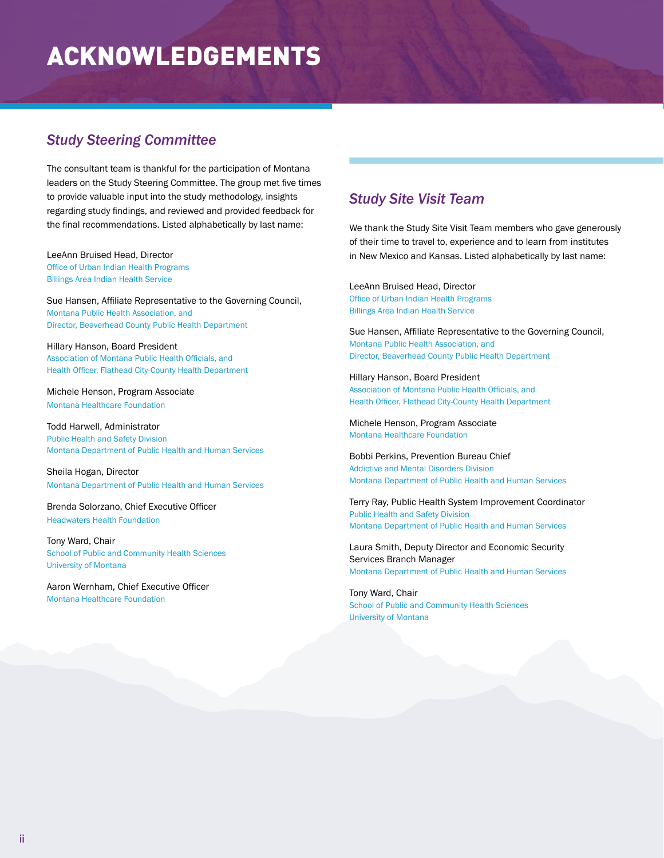## ACKNOWLEDGEMENTS

## *Study Steering Committee*

The consultant team is thankful for the participation of Montana leaders on the Study Steering Committee. The group met five times to provide valuable input into the study methodology, insights regarding study findings, and reviewed and provided feedback for the final recommendations. Listed alphabetically by last name:

#### LeeAnn Bruised Head, Director Office of Urban Indian Health Programs Billings Area Indian Health Service

Sue Hansen, Affiliate Representative to the Governing Council, Montana Public Health Association, and Director, Beaverhead County Public Health Department

Hillary Hanson, Board President Association of Montana Public Health Officials, and Health Officer, Flathead City-County Health Department

Michele Henson, Program Associate Montana Healthcare Foundation

Todd Harwell, Administrator Public Health and Safety Division Montana Department of Public Health and Human Services

Sheila Hogan, Director Montana Department of Public Health and Human Services

Brenda Solorzano, Chief Executive Officer Headwaters Health Foundation

Tony Ward, Chair School of Public and Community Health Sciences University of Montana

Aaron Wernham, Chief Executive Officer Montana Healthcare Foundation

## *Study Site Visit Team*

We thank the Study Site Visit Team members who gave generously of their time to travel to, experience and to learn from institutes in New Mexico and Kansas. Listed alphabetically by last name:

LeeAnn Bruised Head, Director Office of Urban Indian Health Programs Billings Area Indian Health Service

Sue Hansen, Affiliate Representative to the Governing Council, Montana Public Health Association, and Director, Beaverhead County Public Health Department

Hillary Hanson, Board President Association of Montana Public Health Officials, and Health Officer, Flathead City-County Health Department

Michele Henson, Program Associate Montana Healthcare Foundation

Bobbi Perkins, Prevention Bureau Chief Addictive and Mental Disorders Division Montana Department of Public Health and Human Services

Terry Ray, Public Health System Improvement Coordinator Public Health and Safety Division Montana Department of Public Health and Human Services

Laura Smith, Deputy Director and Economic Security Services Branch Manager Montana Department of Public Health and Human Services

Tony Ward, Chair School of Public and Community Health Sciences University of Montana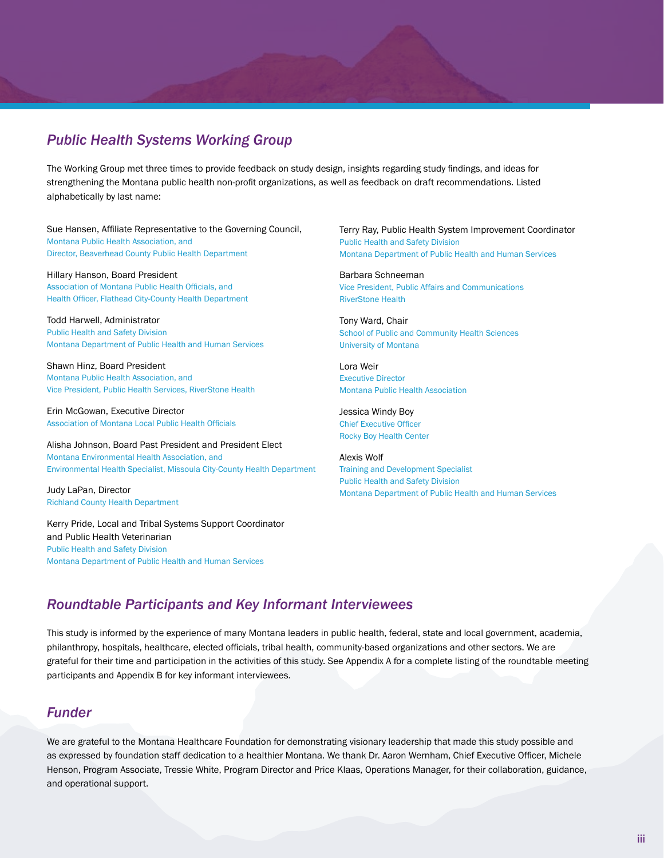## *Public Health Systems Working Group*

The Working Group met three times to provide feedback on study design, insights regarding study findings, and ideas for strengthening the Montana public health non-profit organizations, as well as feedback on draft recommendations. Listed alphabetically by last name:

Sue Hansen, Affiliate Representative to the Governing Council, Montana Public Health Association, and Director, Beaverhead County Public Health Department

Hillary Hanson, Board President Association of Montana Public Health Officials, and Health Officer, Flathead City-County Health Department

Todd Harwell, Administrator Public Health and Safety Division Montana Department of Public Health and Human Services

Shawn Hinz, Board President Montana Public Health Association, and Vice President, Public Health Services, RiverStone Health

Erin McGowan, Executive Director Association of Montana Local Public Health Officials

Alisha Johnson, Board Past President and President Elect Montana Environmental Health Association, and Environmental Health Specialist, Missoula City-County Health Department

Judy LaPan, Director Richland County Health Department

Kerry Pride, Local and Tribal Systems Support Coordinator and Public Health Veterinarian Public Health and Safety Division Montana Department of Public Health and Human Services

Terry Ray, Public Health System Improvement Coordinator Public Health and Safety Division Montana Department of Public Health and Human Services

Barbara Schneeman Vice President, Public Affairs and Communications RiverStone Health

Tony Ward, Chair School of Public and Community Health Sciences University of Montana

Lora Weir Executive Director Montana Public Health Association

Jessica Windy Boy Chief Executive Officer Rocky Boy Health Center

Alexis Wolf Training and Development Specialist Public Health and Safety Division Montana Department of Public Health and Human Services

## *Roundtable Participants and Key Informant Interviewees*

This study is informed by the experience of many Montana leaders in public health, federal, state and local government, academia, philanthropy, hospitals, healthcare, elected officials, tribal health, community-based organizations and other sectors. We are grateful for their time and participation in the activities of this study. See Appendix A for a complete listing of the roundtable meeting participants and Appendix B for key informant interviewees.

## *Funder*

We are grateful to the Montana Healthcare Foundation for demonstrating visionary leadership that made this study possible and as expressed by foundation staff dedication to a healthier Montana. We thank Dr. Aaron Wernham, Chief Executive Officer, Michele Henson, Program Associate, Tressie White, Program Director and Price Klaas, Operations Manager, for their collaboration, guidance, and operational support.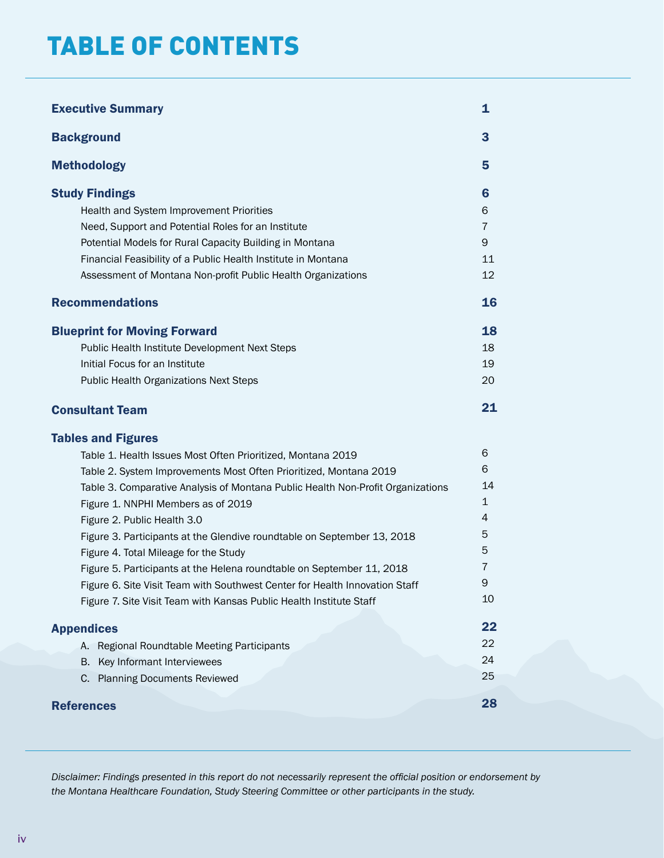## TABLE OF CONTENTS

| <b>Executive Summary</b>                                                                                                                                                                                                                                                                                                                                                                                                                                                                                                                                                                                                                    | 1                                                |
|---------------------------------------------------------------------------------------------------------------------------------------------------------------------------------------------------------------------------------------------------------------------------------------------------------------------------------------------------------------------------------------------------------------------------------------------------------------------------------------------------------------------------------------------------------------------------------------------------------------------------------------------|--------------------------------------------------|
| <b>Background</b>                                                                                                                                                                                                                                                                                                                                                                                                                                                                                                                                                                                                                           | 3                                                |
| <b>Methodology</b>                                                                                                                                                                                                                                                                                                                                                                                                                                                                                                                                                                                                                          | 5                                                |
| <b>Study Findings</b><br>Health and System Improvement Priorities<br>Need, Support and Potential Roles for an Institute<br>Potential Models for Rural Capacity Building in Montana<br>Financial Feasibility of a Public Health Institute in Montana<br>Assessment of Montana Non-profit Public Health Organizations                                                                                                                                                                                                                                                                                                                         | 6<br>6<br>7<br>9<br>11<br>12                     |
| <b>Recommendations</b>                                                                                                                                                                                                                                                                                                                                                                                                                                                                                                                                                                                                                      | 16                                               |
| <b>Blueprint for Moving Forward</b><br>Public Health Institute Development Next Steps<br>Initial Focus for an Institute<br><b>Public Health Organizations Next Steps</b><br><b>Consultant Team</b>                                                                                                                                                                                                                                                                                                                                                                                                                                          | 18<br>18<br>19<br>20<br>21                       |
| <b>Tables and Figures</b>                                                                                                                                                                                                                                                                                                                                                                                                                                                                                                                                                                                                                   |                                                  |
| Table 1. Health Issues Most Often Prioritized, Montana 2019<br>Table 2. System Improvements Most Often Prioritized, Montana 2019<br>Table 3. Comparative Analysis of Montana Public Health Non-Profit Organizations<br>Figure 1. NNPHI Members as of 2019<br>Figure 2. Public Health 3.0<br>Figure 3. Participants at the Glendive roundtable on September 13, 2018<br>Figure 4. Total Mileage for the Study<br>Figure 5. Participants at the Helena roundtable on September 11, 2018<br>Figure 6. Site Visit Team with Southwest Center for Health Innovation Staff<br>Figure 7. Site Visit Team with Kansas Public Health Institute Staff | 6<br>6<br>14<br>1<br>4<br>5<br>5<br>7<br>9<br>10 |
| <b>Appendices</b>                                                                                                                                                                                                                                                                                                                                                                                                                                                                                                                                                                                                                           | 22                                               |
| A. Regional Roundtable Meeting Participants<br>Key Informant Interviewees<br>В.<br>C. Planning Documents Reviewed                                                                                                                                                                                                                                                                                                                                                                                                                                                                                                                           | 22<br>24<br>25                                   |
| <b>References</b>                                                                                                                                                                                                                                                                                                                                                                                                                                                                                                                                                                                                                           | 28                                               |

*Disclaimer: Findings presented in this report do not necessarily represent the official position or endorsement by the Montana Healthcare Foundation, Study Steering Committee or other participants in the study.*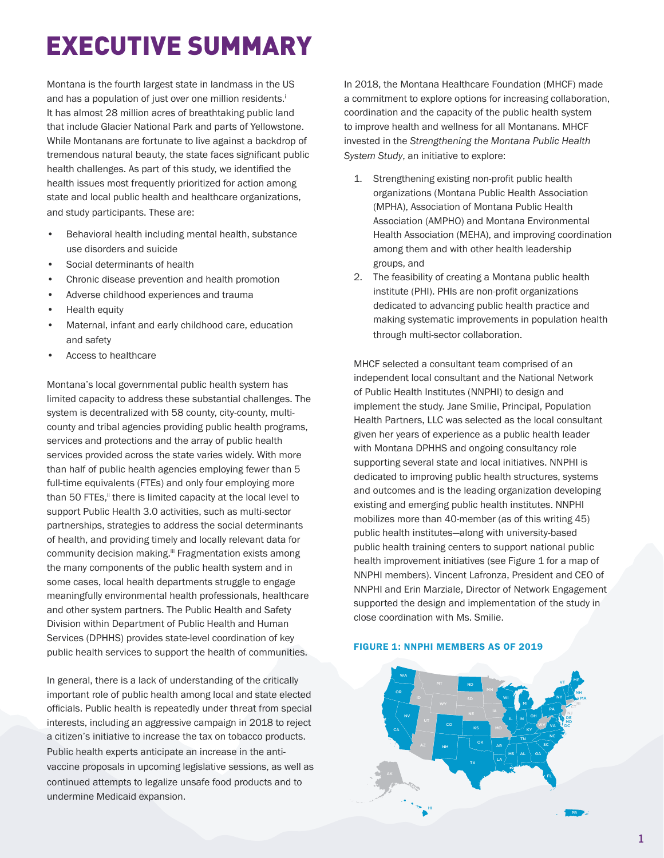# EXECUTIVE SUMMARY

Montana is the fourth largest state in landmass in the US and has a population of just over one million residents.<sup>i</sup> It has almost 28 million acres of breathtaking public land that include Glacier National Park and parts of Yellowstone. While Montanans are fortunate to live against a backdrop of tremendous natural beauty, the state faces significant public health challenges. As part of this study, we identified the health issues most frequently prioritized for action among state and local public health and healthcare organizations, and study participants. These are:

- Behavioral health including mental health, substance use disorders and suicide
- Social determinants of health
- Chronic disease prevention and health promotion
- Adverse childhood experiences and trauma
- Health equity
- Maternal, infant and early childhood care, education and safety
- Access to healthcare

Montana's local governmental public health system has limited capacity to address these substantial challenges. The system is decentralized with 58 county, city-county, multicounty and tribal agencies providing public health programs, services and protections and the array of public health services provided across the state varies widely. With more than half of public health agencies employing fewer than 5 full-time equivalents (FTEs) and only four employing more than 50 FTEs,<sup>ii</sup> there is limited capacity at the local level to support Public Health 3.0 activities, such as multi-sector partnerships, strategies to address the social determinants of health, and providing timely and locally relevant data for community decision making.iii Fragmentation exists among the many components of the public health system and in some cases, local health departments struggle to engage meaningfully environmental health professionals, healthcare and other system partners. The Public Health and Safety Division within Department of Public Health and Human Services (DPHHS) provides state-level coordination of key public health services to support the health of communities.

In general, there is a lack of understanding of the critically important role of public health among local and state elected officials. Public health is repeatedly under threat from special interests, including an aggressive campaign in 2018 to reject a citizen's initiative to increase the tax on tobacco products. Public health experts anticipate an increase in the antivaccine proposals in upcoming legislative sessions, as well as continued attempts to legalize unsafe food products and to undermine Medicaid expansion.

In 2018, the Montana Healthcare Foundation (MHCF) made a commitment to explore options for increasing collaboration, coordination and the capacity of the public health system to improve health and wellness for all Montanans. MHCF invested in the *Strengthening the Montana Public Health System Study*, an initiative to explore:

- 1. Strengthening existing non-profit public health organizations (Montana Public Health Association (MPHA), Association of Montana Public Health Association (AMPHO) and Montana Environmental Health Association (MEHA), and improving coordination among them and with other health leadership groups, and
- 2. The feasibility of creating a Montana public health institute (PHI). PHIs are non-profit organizations dedicated to advancing public health practice and making systematic improvements in population health through multi-sector collaboration.

MHCF selected a consultant team comprised of an independent local consultant and the National Network of Public Health Institutes (NNPHI) to design and implement the study. Jane Smilie, Principal, Population Health Partners, LLC was selected as the local consultant given her years of experience as a public health leader with Montana DPHHS and ongoing consultancy role supporting several state and local initiatives. NNPHI is dedicated to improving public health structures, systems and outcomes and is the leading organization developing existing and emerging public health institutes. NNPHI mobilizes more than 40-member (as of this writing 45) public health institutes—along with university-based public health training centers to support national public health improvement initiatives (see Figure 1 for a map of NNPHI members). Vincent Lafronza, President and CEO of NNPHI and Erin Marziale, Director of Network Engagement supported the design and implementation of the study in close coordination with Ms. Smilie.

#### FIGURE 1: NNPHI MEMBERS AS OF 2019

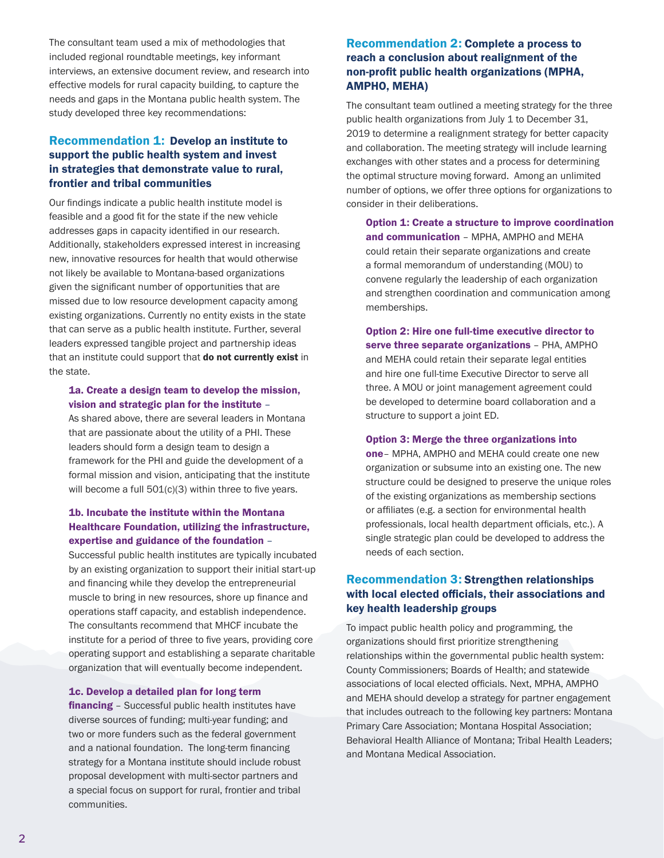The consultant team used a mix of methodologies that included regional roundtable meetings, key informant interviews, an extensive document review, and research into effective models for rural capacity building, to capture the needs and gaps in the Montana public health system. The study developed three key recommendations:

## Recommendation 1: Develop an institute to support the public health system and invest in strategies that demonstrate value to rural, frontier and tribal communities

Our findings indicate a public health institute model is feasible and a good fit for the state if the new vehicle addresses gaps in capacity identified in our research. Additionally, stakeholders expressed interest in increasing new, innovative resources for health that would otherwise not likely be available to Montana-based organizations given the significant number of opportunities that are missed due to low resource development capacity among existing organizations. Currently no entity exists in the state that can serve as a public health institute. Further, several leaders expressed tangible project and partnership ideas that an institute could support that do not currently exist in the state.

#### 1a. Create a design team to develop the mission, vision and strategic plan for the institute –

As shared above, there are several leaders in Montana that are passionate about the utility of a PHI. These leaders should form a design team to design a framework for the PHI and guide the development of a formal mission and vision, anticipating that the institute will become a full 501(c)(3) within three to five years.

#### 1b. Incubate the institute within the Montana Healthcare Foundation, utilizing the infrastructure, expertise and guidance of the foundation –

Successful public health institutes are typically incubated by an existing organization to support their initial start-up and financing while they develop the entrepreneurial muscle to bring in new resources, shore up finance and operations staff capacity, and establish independence. The consultants recommend that MHCF incubate the institute for a period of three to five years, providing core operating support and establishing a separate charitable organization that will eventually become independent.

#### 1c. Develop a detailed plan for long term

**financing** - Successful public health institutes have diverse sources of funding; multi-year funding; and two or more funders such as the federal government and a national foundation. The long-term financing strategy for a Montana institute should include robust proposal development with multi-sector partners and a special focus on support for rural, frontier and tribal communities.

### Recommendation 2: Complete a process to reach a conclusion about realignment of the non-profit public health organizations (MPHA, AMPHO, MEHA)

The consultant team outlined a meeting strategy for the three public health organizations from July 1 to December 31, 2019 to determine a realignment strategy for better capacity and collaboration. The meeting strategy will include learning exchanges with other states and a process for determining the optimal structure moving forward. Among an unlimited number of options, we offer three options for organizations to consider in their deliberations.

Option 1: Create a structure to improve coordination and communication – MPHA, AMPHO and MEHA could retain their separate organizations and create a formal memorandum of understanding (MOU) to convene regularly the leadership of each organization and strengthen coordination and communication among memberships.

Option 2: Hire one full-time executive director to serve three separate organizations – PHA, AMPHO and MEHA could retain their separate legal entities and hire one full-time Executive Director to serve all three. A MOU or joint management agreement could be developed to determine board collaboration and a structure to support a joint ED.

#### Option 3: Merge the three organizations into

one– MPHA, AMPHO and MEHA could create one new organization or subsume into an existing one. The new structure could be designed to preserve the unique roles of the existing organizations as membership sections or affiliates (e.g. a section for environmental health professionals, local health department officials, etc.). A single strategic plan could be developed to address the needs of each section.

### Recommendation 3: Strengthen relationships with local elected officials, their associations and key health leadership groups

To impact public health policy and programming, the organizations should first prioritize strengthening relationships within the governmental public health system: County Commissioners; Boards of Health; and statewide associations of local elected officials. Next, MPHA, AMPHO and MEHA should develop a strategy for partner engagement that includes outreach to the following key partners: Montana Primary Care Association; Montana Hospital Association; Behavioral Health Alliance of Montana; Tribal Health Leaders; and Montana Medical Association.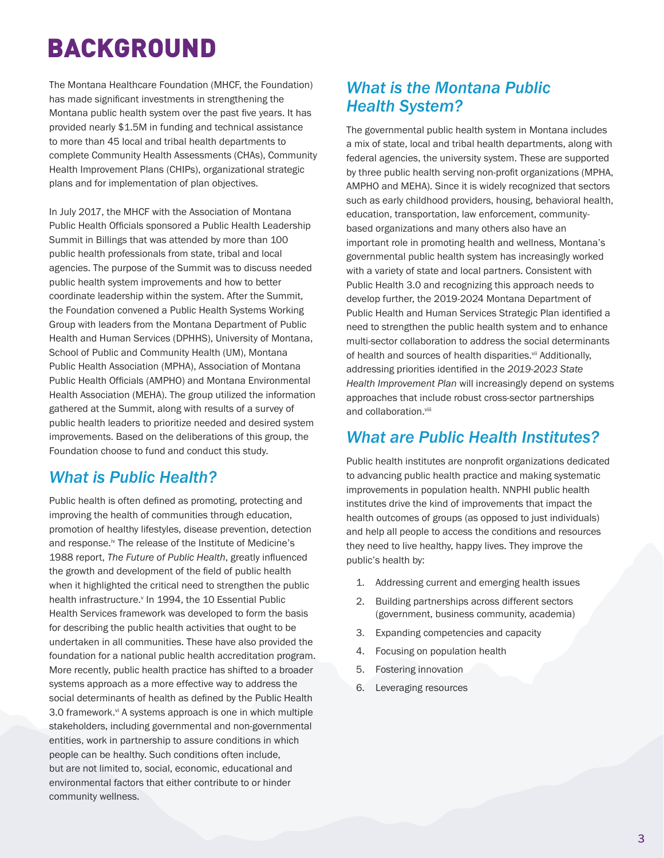# BACKGROUND

The Montana Healthcare Foundation (MHCF, the Foundation) has made significant investments in strengthening the Montana public health system over the past five years. It has provided nearly \$1.5M in funding and technical assistance to more than 45 local and tribal health departments to complete Community Health Assessments (CHAs), Community Health Improvement Plans (CHIPs), organizational strategic plans and for implementation of plan objectives.

In July 2017, the MHCF with the Association of Montana Public Health Officials sponsored a Public Health Leadership Summit in Billings that was attended by more than 100 public health professionals from state, tribal and local agencies. The purpose of the Summit was to discuss needed public health system improvements and how to better coordinate leadership within the system. After the Summit, the Foundation convened a Public Health Systems Working Group with leaders from the Montana Department of Public Health and Human Services (DPHHS), University of Montana, School of Public and Community Health (UM), Montana Public Health Association (MPHA), Association of Montana Public Health Officials (AMPHO) and Montana Environmental Health Association (MEHA). The group utilized the information gathered at the Summit, along with results of a survey of public health leaders to prioritize needed and desired system improvements. Based on the deliberations of this group, the Foundation choose to fund and conduct this study.

## *What is Public Health?*

Public health is often defined as promoting, protecting and improving the health of communities through education, promotion of healthy lifestyles, disease prevention, detection and response.<sup>iv</sup> The release of the Institute of Medicine's 1988 report, *The Future of Public Health*, greatly influenced the growth and development of the field of public health when it highlighted the critical need to strengthen the public health infrastructure.<sup>v</sup> In 1994, the 10 Essential Public Health Services framework was developed to form the basis for describing the public health activities that ought to be undertaken in all communities. These have also provided the foundation for a national public health accreditation program. More recently, public health practice has shifted to a broader systems approach as a more effective way to address the social determinants of health as defined by the Public Health 3.0 framework.<sup>vi</sup> A systems approach is one in which multiple stakeholders, including governmental and non-governmental entities, work in partnership to assure conditions in which people can be healthy. Such conditions often include, but are not limited to, social, economic, educational and environmental factors that either contribute to or hinder community wellness.

## *What is the Montana Public Health System?*

The governmental public health system in Montana includes a mix of state, local and tribal health departments, along with federal agencies, the university system. These are supported by three public health serving non-profit organizations (MPHA, AMPHO and MEHA). Since it is widely recognized that sectors such as early childhood providers, housing, behavioral health, education, transportation, law enforcement, communitybased organizations and many others also have an important role in promoting health and wellness, Montana's governmental public health system has increasingly worked with a variety of state and local partners. Consistent with Public Health 3.0 and recognizing this approach needs to develop further, the 2019-2024 Montana Department of Public Health and Human Services Strategic Plan identified a need to strengthen the public health system and to enhance multi-sector collaboration to address the social determinants of health and sources of health disparities.<sup>vii</sup> Additionally, addressing priorities identified in the *2019-2023 State Health Improvement Plan* will increasingly depend on systems approaches that include robust cross-sector partnerships and collaboration.<sup>viii</sup>

## *What are Public Health Institutes?*

Public health institutes are nonprofit organizations dedicated to advancing public health practice and making systematic improvements in population health. NNPHI public health institutes drive the kind of improvements that impact the health outcomes of groups (as opposed to just individuals) and help all people to access the conditions and resources they need to live healthy, happy lives. They improve the public's health by:

- 1. Addressing current and emerging health issues
- 2. Building partnerships across different sectors (government, business community, academia)
- 3. Expanding competencies and capacity
- 4. Focusing on population health
- 5. Fostering innovation
- 6. Leveraging resources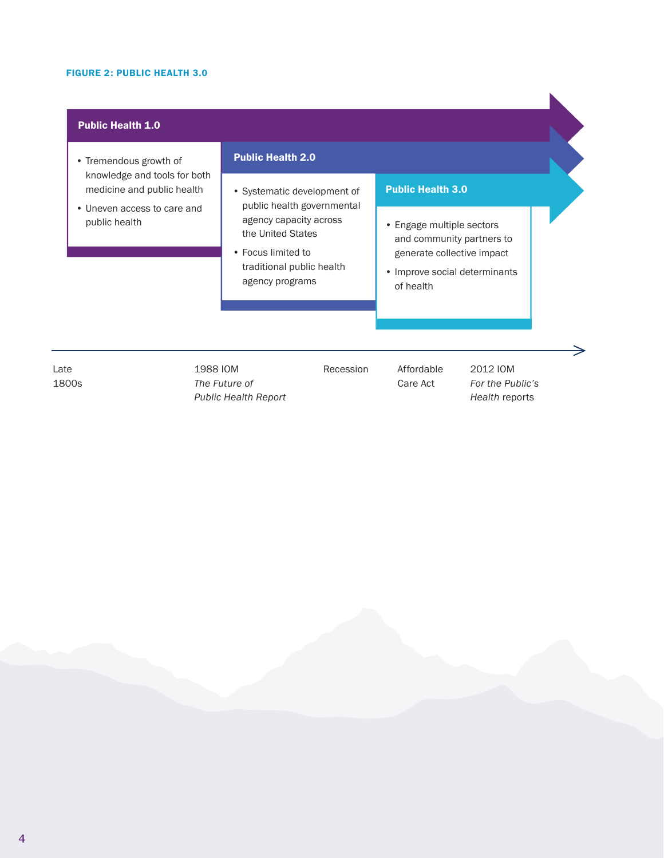#### FIGURE 2: PUBLIC HEALTH 3.0

## Public Health 1.0

- Tremendous growth of knowledge and tools for both medicine and public health
- Uneven access to care and public health

### Public Health 2.0

- Systematic development of public health governmental agency capacity across the United States
- Focus limited to traditional public health agency programs

### Public Health 3.0

- Engage multiple sectors and community partners to generate collective impact
- Improve social determinants of health

Late 1800s 1988 IOM *The Future of Public Health Report* Recession Affordable Care Act

2012 IOM *For the Public's Health* reports

 $\Rightarrow$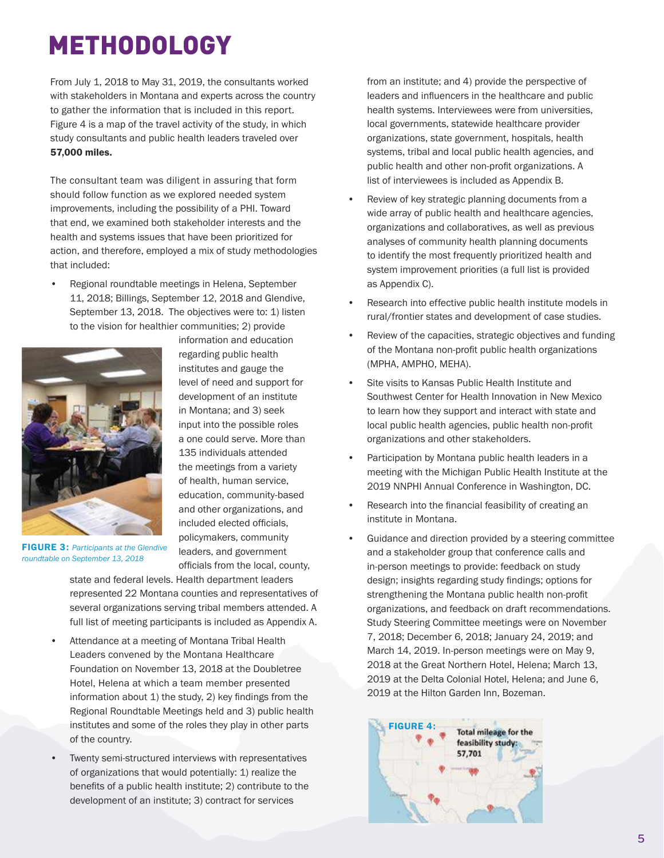# METHODOLOGY

From July 1, 2018 to May 31, 2019, the consultants worked with stakeholders in Montana and experts across the country to gather the information that is included in this report. Figure 4 is a map of the travel activity of the study, in which study consultants and public health leaders traveled over 57,000 miles.

The consultant team was diligent in assuring that form should follow function as we explored needed system improvements, including the possibility of a PHI. Toward that end, we examined both stakeholder interests and the health and systems issues that have been prioritized for action, and therefore, employed a mix of study methodologies that included:

• Regional roundtable meetings in Helena, September 11, 2018; Billings, September 12, 2018 and Glendive, September 13, 2018. The objectives were to: 1) listen to the vision for healthier communities; 2) provide



information and education regarding public health institutes and gauge the level of need and support for development of an institute in Montana; and 3) seek input into the possible roles a one could serve. More than 135 individuals attended the meetings from a variety of health, human service, education, community-based and other organizations, and included elected officials, policymakers, community leaders, and government officials from the local, county,

FIGURE 3: *Participants at the Glendive roundtable on September 13, 2018*

state and federal levels. Health department leaders represented 22 Montana counties and representatives of several organizations serving tribal members attended. A full list of meeting participants is included as Appendix A.

- Attendance at a meeting of Montana Tribal Health Leaders convened by the Montana Healthcare Foundation on November 13, 2018 at the Doubletree Hotel, Helena at which a team member presented information about 1) the study, 2) key findings from the Regional Roundtable Meetings held and 3) public health institutes and some of the roles they play in other parts of the country.
- Twenty semi-structured interviews with representatives of organizations that would potentially: 1) realize the benefits of a public health institute; 2) contribute to the development of an institute; 3) contract for services

from an institute; and 4) provide the perspective of leaders and influencers in the healthcare and public health systems. Interviewees were from universities, local governments, statewide healthcare provider organizations, state government, hospitals, health systems, tribal and local public health agencies, and public health and other non-profit organizations. A list of interviewees is included as Appendix B.

- Review of key strategic planning documents from a wide array of public health and healthcare agencies, organizations and collaboratives, as well as previous analyses of community health planning documents to identify the most frequently prioritized health and system improvement priorities (a full list is provided as Appendix C).
- Research into effective public health institute models in rural/frontier states and development of case studies.
- Review of the capacities, strategic objectives and funding of the Montana non-profit public health organizations (MPHA, AMPHO, MEHA).
- Site visits to Kansas Public Health Institute and Southwest Center for Health Innovation in New Mexico to learn how they support and interact with state and local public health agencies, public health non-profit organizations and other stakeholders.
- Participation by Montana public health leaders in a meeting with the Michigan Public Health Institute at the 2019 NNPHI Annual Conference in Washington, DC.
- Research into the financial feasibility of creating an institute in Montana.
- Guidance and direction provided by a steering committee and a stakeholder group that conference calls and in-person meetings to provide: feedback on study design; insights regarding study findings; options for strengthening the Montana public health non-profit organizations, and feedback on draft recommendations. Study Steering Committee meetings were on November 7, 2018; December 6, 2018; January 24, 2019; and March 14, 2019. In-person meetings were on May 9, 2018 at the Great Northern Hotel, Helena; March 13, 2019 at the Delta Colonial Hotel, Helena; and June 6, 2019 at the Hilton Garden Inn, Bozeman.

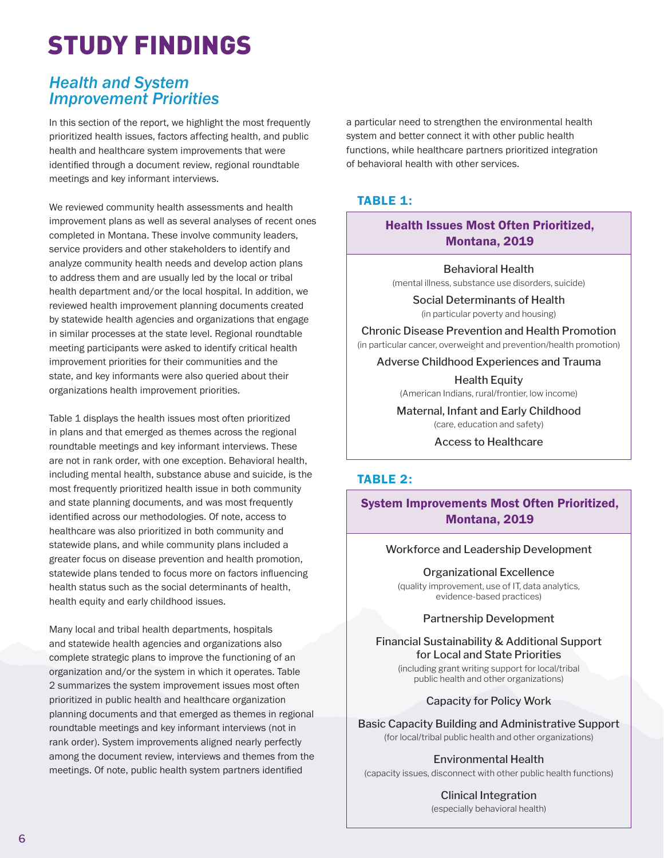# STUDY FINDINGS

## *Health and System Improvement Priorities*

In this section of the report, we highlight the most frequently prioritized health issues, factors affecting health, and public health and healthcare system improvements that were identified through a document review, regional roundtable meetings and key informant interviews.

We reviewed community health assessments and health improvement plans as well as several analyses of recent ones completed in Montana. These involve community leaders, service providers and other stakeholders to identify and analyze community health needs and develop action plans to address them and are usually led by the local or tribal health department and/or the local hospital. In addition, we reviewed health improvement planning documents created by statewide health agencies and organizations that engage in similar processes at the state level. Regional roundtable meeting participants were asked to identify critical health improvement priorities for their communities and the state, and key informants were also queried about their organizations health improvement priorities.

Table 1 displays the health issues most often prioritized in plans and that emerged as themes across the regional roundtable meetings and key informant interviews. These are not in rank order, with one exception. Behavioral health, including mental health, substance abuse and suicide, is the most frequently prioritized health issue in both community and state planning documents, and was most frequently identified across our methodologies. Of note, access to healthcare was also prioritized in both community and statewide plans, and while community plans included a greater focus on disease prevention and health promotion, statewide plans tended to focus more on factors influencing health status such as the social determinants of health, health equity and early childhood issues.

Many local and tribal health departments, hospitals and statewide health agencies and organizations also complete strategic plans to improve the functioning of an organization and/or the system in which it operates. Table 2 summarizes the system improvement issues most often prioritized in public health and healthcare organization planning documents and that emerged as themes in regional roundtable meetings and key informant interviews (not in rank order). System improvements aligned nearly perfectly among the document review, interviews and themes from the meetings. Of note, public health system partners identified

a particular need to strengthen the environmental health system and better connect it with other public health functions, while healthcare partners prioritized integration of behavioral health with other services.

## TABLE 1:

## Health Issues Most Often Prioritized, Montana, 2019

Behavioral Health (mental illness, substance use disorders, suicide)

Social Determinants of Health (in particular poverty and housing)

Chronic Disease Prevention and Health Promotion (in particular cancer, overweight and prevention/health promotion)

Adverse Childhood Experiences and Trauma

Health Equity (American Indians, rural/frontier, low income)

Maternal, Infant and Early Childhood (care, education and safety)

Access to Healthcare

## TABLE 2:

## System Improvements Most Often Prioritized, Montana, 2019

#### Workforce and Leadership Development

Organizational Excellence (quality improvement, use of IT, data analytics, evidence-based practices)

### Partnership Development

Financial Sustainability & Additional Support for Local and State Priorities (including grant writing support for local/tribal

public health and other organizations)

Capacity for Policy Work

Basic Capacity Building and Administrative Support (for local/tribal public health and other organizations)

Environmental Health

(capacity issues, disconnect with other public health functions)

Clinical Integration (especially behavioral health)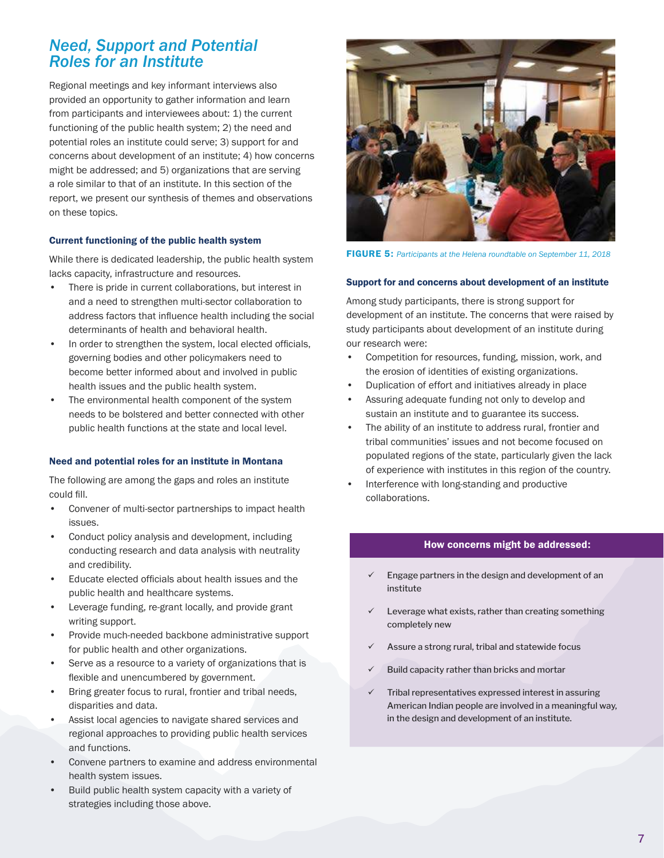## *Need, Support and Potential Roles for an Institute*

Regional meetings and key informant interviews also provided an opportunity to gather information and learn from participants and interviewees about: 1) the current functioning of the public health system; 2) the need and potential roles an institute could serve; 3) support for and concerns about development of an institute; 4) how concerns might be addressed; and 5) organizations that are serving a role similar to that of an institute. In this section of the report, we present our synthesis of themes and observations on these topics.

#### Current functioning of the public health system

While there is dedicated leadership, the public health system lacks capacity, infrastructure and resources.

- There is pride in current collaborations, but interest in and a need to strengthen multi-sector collaboration to address factors that influence health including the social determinants of health and behavioral health.
- In order to strengthen the system, local elected officials, governing bodies and other policymakers need to become better informed about and involved in public health issues and the public health system.
- The environmental health component of the system needs to be bolstered and better connected with other public health functions at the state and local level.

#### Need and potential roles for an institute in Montana

The following are among the gaps and roles an institute could fill.

- Convener of multi-sector partnerships to impact health issues.
- Conduct policy analysis and development, including conducting research and data analysis with neutrality and credibility.
- Educate elected officials about health issues and the public health and healthcare systems.
- Leverage funding, re-grant locally, and provide grant writing support.
- Provide much-needed backbone administrative support for public health and other organizations.
- Serve as a resource to a variety of organizations that is flexible and unencumbered by government.
- Bring greater focus to rural, frontier and tribal needs, disparities and data.
- Assist local agencies to navigate shared services and regional approaches to providing public health services and functions.
- Convene partners to examine and address environmental health system issues.
- Build public health system capacity with a variety of strategies including those above.



FIGURE 5: *Participants at the Helena roundtable on September 11, 2018*

#### Support for and concerns about development of an institute

Among study participants, there is strong support for development of an institute. The concerns that were raised by study participants about development of an institute during our research were:

- Competition for resources, funding, mission, work, and the erosion of identities of existing organizations.
- Duplication of effort and initiatives already in place
- Assuring adequate funding not only to develop and sustain an institute and to guarantee its success.
- The ability of an institute to address rural, frontier and tribal communities' issues and not become focused on populated regions of the state, particularly given the lack of experience with institutes in this region of the country.
- Interference with long-standing and productive collaborations.

#### How concerns might be addressed:

- Engage partners in the design and development of an institute
- Leverage what exists, rather than creating something completely new
- Assure a strong rural, tribal and statewide focus
- Build capacity rather than bricks and mortar
- Tribal representatives expressed interest in assuring American Indian people are involved in a meaningful way, in the design and development of an institute.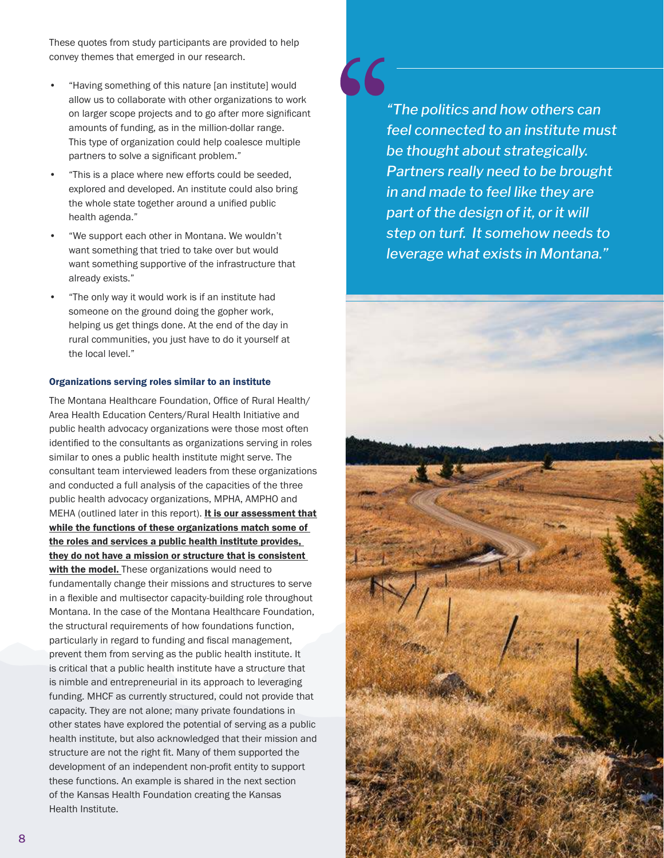These quotes from study participants are provided to help convey themes that emerged in our research.

- "Having something of this nature [an institute] would allow us to collaborate with other organizations to work on larger scope projects and to go after more significant amounts of funding, as in the million-dollar range. This type of organization could help coalesce multiple partners to solve a significant problem."
- "This is a place where new efforts could be seeded, explored and developed. An institute could also bring the whole state together around a unified public health agenda."
- "We support each other in Montana. We wouldn't want something that tried to take over but would want something supportive of the infrastructure that already exists."
- "The only way it would work is if an institute had someone on the ground doing the gopher work, helping us get things done. At the end of the day in rural communities, you just have to do it yourself at the local level."

#### Organizations serving roles similar to an institute

The Montana Healthcare Foundation, Office of Rural Health/ Area Health Education Centers/Rural Health Initiative and public health advocacy organizations were those most often identified to the consultants as organizations serving in roles similar to ones a public health institute might serve. The consultant team interviewed leaders from these organizations and conducted a full analysis of the capacities of the three public health advocacy organizations, MPHA, AMPHO and MEHA (outlined later in this report). It is our assessment that while the functions of these organizations match some of the roles and services a public health institute provides, they do not have a mission or structure that is consistent with the model. These organizations would need to fundamentally change their missions and structures to serve in a flexible and multisector capacity-building role throughout Montana. In the case of the Montana Healthcare Foundation, the structural requirements of how foundations function, particularly in regard to funding and fiscal management, prevent them from serving as the public health institute. It is critical that a public health institute have a structure that is nimble and entrepreneurial in its approach to leveraging funding. MHCF as currently structured, could not provide that capacity. They are not alone; many private foundations in other states have explored the potential of serving as a public health institute, but also acknowledged that their mission and structure are not the right fit. Many of them supported the development of an independent non-profit entity to support these functions. An example is shared in the next section of the Kansas Health Foundation creating the Kansas Health Institute.

*"The politics and how others can feel connected to an institute must be thought about strategically. Partners really need to be brought in and made to feel like they are part of the design of it, or it will step on turf. It somehow needs to leverage what exists in Montana."*

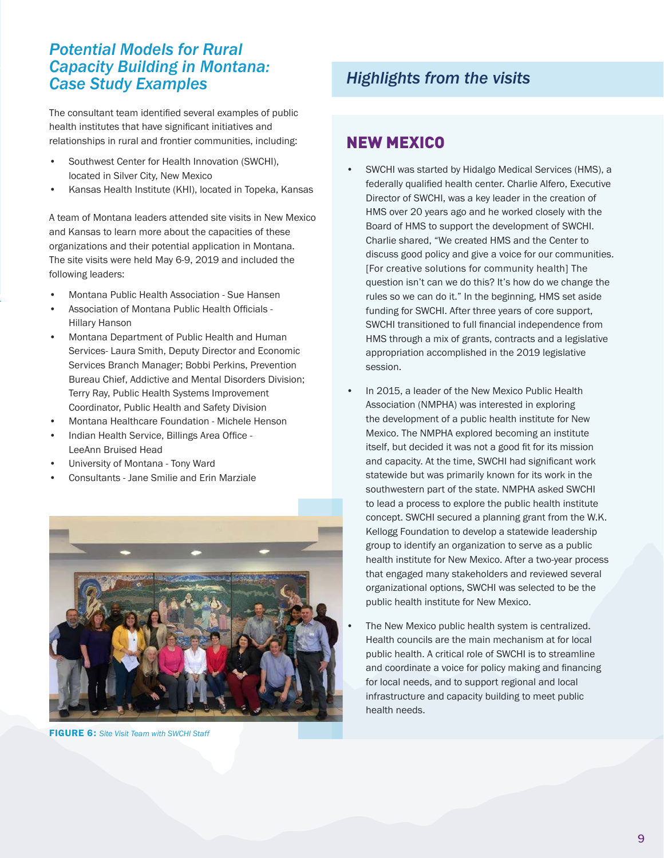## *Potential Models for Rural Capacity Building in Montana: Case Study Examples*

The consultant team identified several examples of public health institutes that have significant initiatives and relationships in rural and frontier communities, including:

- Southwest Center for Health Innovation (SWCHI), located in Silver City, New Mexico
- Kansas Health Institute (KHI), located in Topeka, Kansas

A team of Montana leaders attended site visits in New Mexico and Kansas to learn more about the capacities of these organizations and their potential application in Montana. The site visits were held May 6-9, 2019 and included the following leaders:

- Montana Public Health Association Sue Hansen
- Association of Montana Public Health Officials Hillary Hanson
- Montana Department of Public Health and Human Services- Laura Smith, Deputy Director and Economic Services Branch Manager; Bobbi Perkins, Prevention Bureau Chief, Addictive and Mental Disorders Division; Terry Ray, Public Health Systems Improvement Coordinator, Public Health and Safety Division
- Montana Healthcare Foundation Michele Henson
- Indian Health Service, Billings Area Office LeeAnn Bruised Head
- University of Montana Tony Ward
- Consultants Jane Smilie and Erin Marziale



FIGURE 6: *Site Visit Team with SWCHI Staff*

## *Highlights from the visits*

## NEW MEXICO

- SWCHI was started by Hidalgo Medical Services (HMS), a federally qualified health center. Charlie Alfero, Executive Director of SWCHI, was a key leader in the creation of HMS over 20 years ago and he worked closely with the Board of HMS to support the development of SWCHI. Charlie shared, "We created HMS and the Center to discuss good policy and give a voice for our communities. [For creative solutions for community health] The question isn't can we do this? It's how do we change the rules so we can do it." In the beginning, HMS set aside funding for SWCHI. After three years of core support, SWCHI transitioned to full financial independence from HMS through a mix of grants, contracts and a legislative appropriation accomplished in the 2019 legislative session.
- In 2015, a leader of the New Mexico Public Health Association (NMPHA) was interested in exploring the development of a public health institute for New Mexico. The NMPHA explored becoming an institute itself, but decided it was not a good fit for its mission and capacity. At the time, SWCHI had significant work statewide but was primarily known for its work in the southwestern part of the state. NMPHA asked SWCHI to lead a process to explore the public health institute concept. SWCHI secured a planning grant from the W.K. Kellogg Foundation to develop a statewide leadership group to identify an organization to serve as a public health institute for New Mexico. After a two-year process that engaged many stakeholders and reviewed several organizational options, SWCHI was selected to be the public health institute for New Mexico.
- The New Mexico public health system is centralized. Health councils are the main mechanism at for local public health. A critical role of SWCHI is to streamline and coordinate a voice for policy making and financing for local needs, and to support regional and local infrastructure and capacity building to meet public health needs.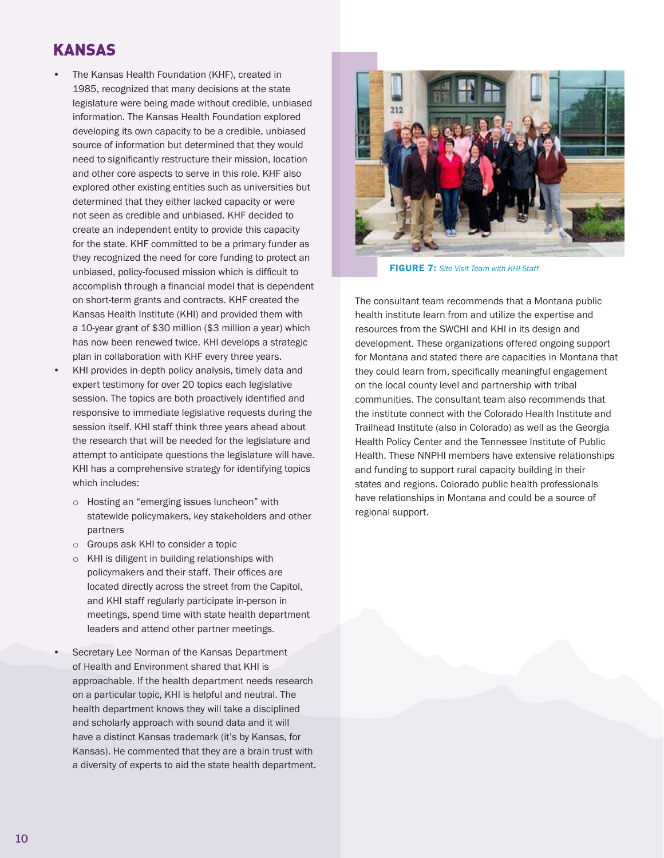## KANSAS

- The Kansas Health Foundation (KHF), created in 1985, recognized that many decisions at the state legislature were being made without credible, unbiased information. The Kansas Health Foundation explored developing its own capacity to be a credible, unbiased source of information but determined that they would need to significantly restructure their mission, location and other core aspects to serve in this role. KHF also explored other existing entities such as universities but determined that they either lacked capacity or were not seen as credible and unbiased. KHF decided to create an independent entity to provide this capacity for the state. KHF committed to be a primary funder as they recognized the need for core funding to protect an unbiased, policy-focused mission which is difficult to accomplish through a financial model that is dependent on short-term grants and contracts. KHF created the Kansas Health Institute (KHI) and provided them with a 10-year grant of \$30 million (\$3 million a year) which has now been renewed twice. KHI develops a strategic plan in collaboration with KHF every three years.
- KHI provides in-depth policy analysis, timely data and expert testimony for over 20 topics each legislative session. The topics are both proactively identified and responsive to immediate legislative requests during the session itself. KHI staff think three years ahead about the research that will be needed for the legislature and attempt to anticipate questions the legislature will have. KHI has a comprehensive strategy for identifying topics which includes:
	- o Hosting an "emerging issues luncheon" with statewide policymakers, key stakeholders and other partners
	- o Groups ask KHI to consider a topic
	- o KHI is diligent in building relationships with policymakers and their staff. Their offices are located directly across the street from the Capitol, and KHI staff regularly participate in-person in meetings, spend time with state health department leaders and attend other partner meetings.
- Secretary Lee Norman of the Kansas Department of Health and Environment shared that KHI is approachable. If the health department needs research on a particular topic, KHI is helpful and neutral. The health department knows they will take a disciplined and scholarly approach with sound data and it will have a distinct Kansas trademark (it's by Kansas, for Kansas). He commented that they are a brain trust with a diversity of experts to aid the state health department.



FIGURE 7: *Site Visit Team with KHI Staff*

The consultant team recommends that a Montana public health institute learn from and utilize the expertise and resources from the SWCHI and KHI in its design and development. These organizations offered ongoing support for Montana and stated there are capacities in Montana that they could learn from, specifically meaningful engagement on the local county level and partnership with tribal communities. The consultant team also recommends that the institute connect with the Colorado Health Institute and Trailhead Institute (also in Colorado) as well as the Georgia Health Policy Center and the Tennessee Institute of Public Health. These NNPHI members have extensive relationships and funding to support rural capacity building in their states and regions. Colorado public health professionals have relationships in Montana and could be a source of regional support.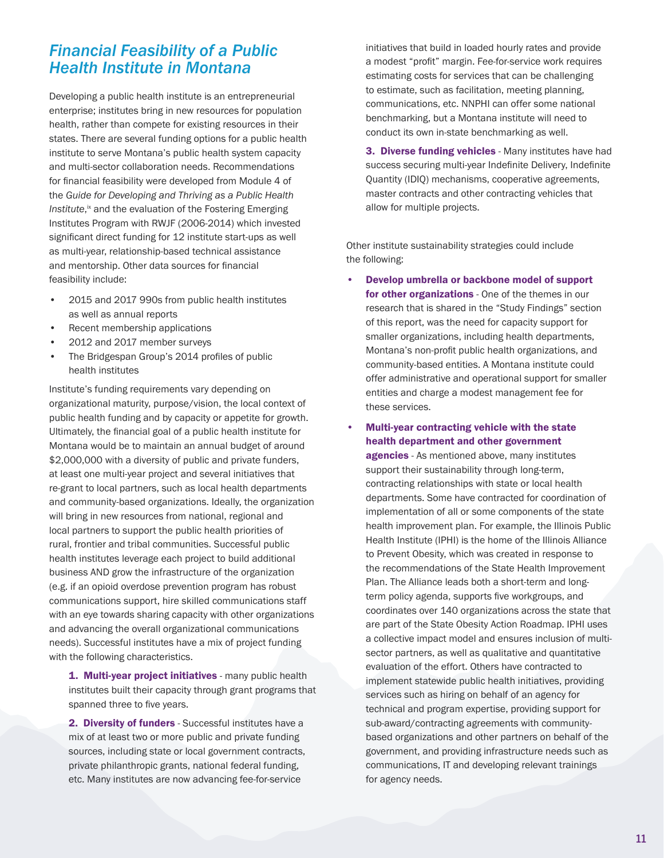## *Financial Feasibility of a Public Health Institute in Montana*

Developing a public health institute is an entrepreneurial enterprise; institutes bring in new resources for population health, rather than compete for existing resources in their states. There are several funding options for a public health institute to serve Montana's public health system capacity and multi-sector collaboration needs. Recommendations for financial feasibility were developed from Module 4 of the *Guide for Developing and Thriving as a Public Health*  Institute,<sup>ix</sup> and the evaluation of the Fostering Emerging Institutes Program with RWJF (2006-2014) which invested significant direct funding for 12 institute start-ups as well as multi-year, relationship-based technical assistance and mentorship. Other data sources for financial feasibility include:

- 2015 and 2017 990s from public health institutes as well as annual reports
- Recent membership applications
- 2012 and 2017 member surveys
- The Bridgespan Group's 2014 profiles of public health institutes

Institute's funding requirements vary depending on organizational maturity, purpose/vision, the local context of public health funding and by capacity or appetite for growth. Ultimately, the financial goal of a public health institute for Montana would be to maintain an annual budget of around \$2,000,000 with a diversity of public and private funders, at least one multi-year project and several initiatives that re-grant to local partners, such as local health departments and community-based organizations. Ideally, the organization will bring in new resources from national, regional and local partners to support the public health priorities of rural, frontier and tribal communities. Successful public health institutes leverage each project to build additional business AND grow the infrastructure of the organization (e.g. if an opioid overdose prevention program has robust communications support, hire skilled communications staff with an eye towards sharing capacity with other organizations and advancing the overall organizational communications needs). Successful institutes have a mix of project funding with the following characteristics.

1. Multi-year project initiatives - many public health institutes built their capacity through grant programs that spanned three to five years.

2. Diversity of funders - Successful institutes have a mix of at least two or more public and private funding sources, including state or local government contracts, private philanthropic grants, national federal funding, etc. Many institutes are now advancing fee-for-service

initiatives that build in loaded hourly rates and provide a modest "profit" margin. Fee-for-service work requires estimating costs for services that can be challenging to estimate, such as facilitation, meeting planning, communications, etc. NNPHI can offer some national benchmarking, but a Montana institute will need to conduct its own in-state benchmarking as well.

3. Diverse funding vehicles - Many institutes have had success securing multi-year Indefinite Delivery, Indefinite Quantity (IDIQ) mechanisms, cooperative agreements, master contracts and other contracting vehicles that allow for multiple projects.

Other institute sustainability strategies could include the following:

• Develop umbrella or backbone model of support for other organizations - One of the themes in our research that is shared in the "Study Findings" section of this report, was the need for capacity support for smaller organizations, including health departments, Montana's non-profit public health organizations, and community-based entities. A Montana institute could offer administrative and operational support for smaller entities and charge a modest management fee for these services.

• Multi-year contracting vehicle with the state health department and other government

agencies - As mentioned above, many institutes support their sustainability through long-term, contracting relationships with state or local health departments. Some have contracted for coordination of implementation of all or some components of the state health improvement plan. For example, the Illinois Public Health Institute (IPHI) is the home of the Illinois Alliance to Prevent Obesity, which was created in response to the recommendations of the State Health Improvement Plan. The Alliance leads both a short-term and longterm policy agenda, supports five workgroups, and coordinates over 140 organizations across the state that are part of the State Obesity Action Roadmap. IPHI uses a collective impact model and ensures inclusion of multisector partners, as well as qualitative and quantitative evaluation of the effort. Others have contracted to implement statewide public health initiatives, providing services such as hiring on behalf of an agency for technical and program expertise, providing support for sub-award/contracting agreements with communitybased organizations and other partners on behalf of the government, and providing infrastructure needs such as communications, IT and developing relevant trainings for agency needs.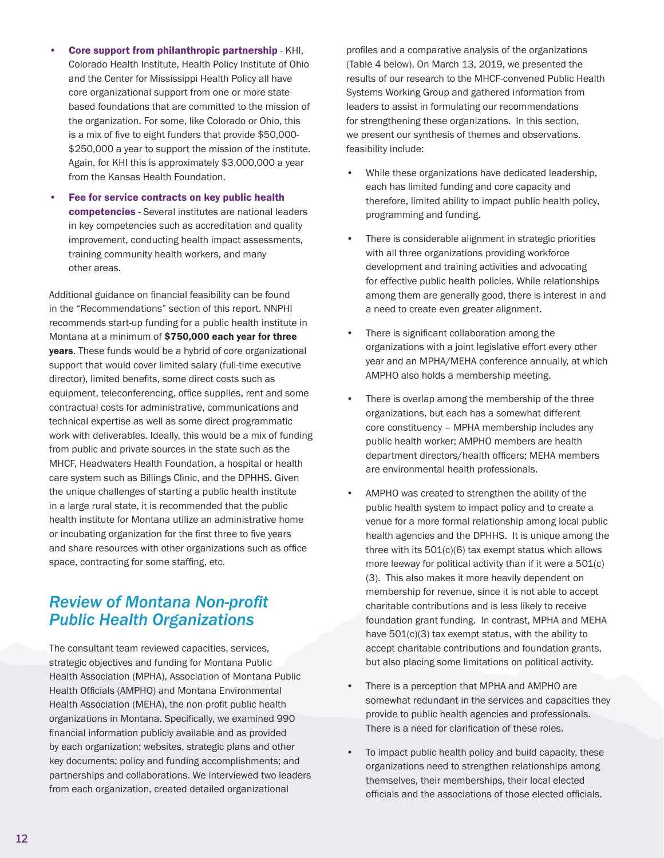- Core support from philanthropic partnership KHI, Colorado Health Institute, Health Policy Institute of Ohio and the Center for Mississippi Health Policy all have core organizational support from one or more statebased foundations that are committed to the mission of the organization. For some, like Colorado or Ohio, this is a mix of five to eight funders that provide \$50,000- \$250,000 a year to support the mission of the institute. Again, for KHI this is approximately \$3,000,000 a year from the Kansas Health Foundation.
- Fee for service contracts on key public health competencies - Several institutes are national leaders in key competencies such as accreditation and quality improvement, conducting health impact assessments, training community health workers, and many other areas.

Additional guidance on financial feasibility can be found in the "Recommendations" section of this report. NNPHI recommends start-up funding for a public health institute in Montana at a minimum of \$750,000 each year for three years. These funds would be a hybrid of core organizational support that would cover limited salary (full-time executive director), limited benefits, some direct costs such as equipment, teleconferencing, office supplies, rent and some contractual costs for administrative, communications and technical expertise as well as some direct programmatic work with deliverables. Ideally, this would be a mix of funding from public and private sources in the state such as the MHCF, Headwaters Health Foundation, a hospital or health care system such as Billings Clinic, and the DPHHS. Given the unique challenges of starting a public health institute in a large rural state, it is recommended that the public health institute for Montana utilize an administrative home or incubating organization for the first three to five years and share resources with other organizations such as office space, contracting for some staffing, etc.

## *Review of Montana Non-profit Public Health Organizations*

The consultant team reviewed capacities, services, strategic objectives and funding for Montana Public Health Association (MPHA), Association of Montana Public Health Officials (AMPHO) and Montana Environmental Health Association (MEHA), the non-profit public health organizations in Montana. Specifically, we examined 990 financial information publicly available and as provided by each organization; websites, strategic plans and other key documents; policy and funding accomplishments; and partnerships and collaborations. We interviewed two leaders from each organization, created detailed organizational

profiles and a comparative analysis of the organizations (Table 4 below). On March 13, 2019, we presented the results of our research to the MHCF-convened Public Health Systems Working Group and gathered information from leaders to assist in formulating our recommendations for strengthening these organizations. In this section, we present our synthesis of themes and observations. feasibility include:

- While these organizations have dedicated leadership, each has limited funding and core capacity and therefore, limited ability to impact public health policy, programming and funding.
- There is considerable alignment in strategic priorities with all three organizations providing workforce development and training activities and advocating for effective public health policies. While relationships among them are generally good, there is interest in and a need to create even greater alignment.
- There is significant collaboration among the organizations with a joint legislative effort every other year and an MPHA/MEHA conference annually, at which AMPHO also holds a membership meeting.
- There is overlap among the membership of the three organizations, but each has a somewhat different core constituency – MPHA membership includes any public health worker; AMPHO members are health department directors/health officers; MEHA members are environmental health professionals.
- AMPHO was created to strengthen the ability of the public health system to impact policy and to create a venue for a more formal relationship among local public health agencies and the DPHHS. It is unique among the three with its 501(c)(6) tax exempt status which allows more leeway for political activity than if it were a 501(c) (3). This also makes it more heavily dependent on membership for revenue, since it is not able to accept charitable contributions and is less likely to receive foundation grant funding. In contrast, MPHA and MEHA have 501(c)(3) tax exempt status, with the ability to accept charitable contributions and foundation grants, but also placing some limitations on political activity.
- There is a perception that MPHA and AMPHO are somewhat redundant in the services and capacities they provide to public health agencies and professionals. There is a need for clarification of these roles.
- To impact public health policy and build capacity, these organizations need to strengthen relationships among themselves, their memberships, their local elected officials and the associations of those elected officials.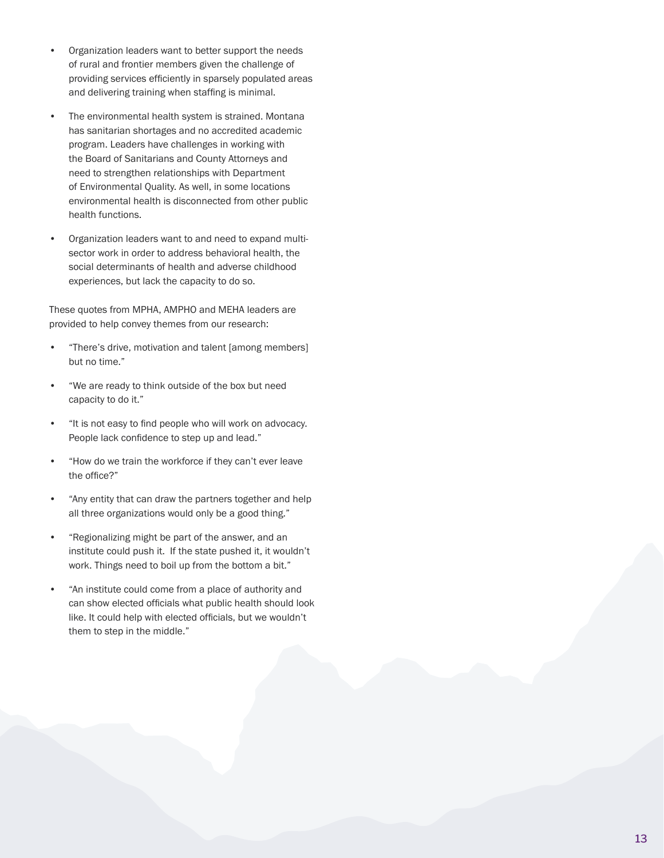- Organization leaders want to better support the needs of rural and frontier members given the challenge of providing services efficiently in sparsely populated areas and delivering training when staffing is minimal.
- The environmental health system is strained. Montana has sanitarian shortages and no accredited academic program. Leaders have challenges in working with the Board of Sanitarians and County Attorneys and need to strengthen relationships with Department of Environmental Quality. As well, in some locations environmental health is disconnected from other public health functions.
- Organization leaders want to and need to expand multisector work in order to address behavioral health, the social determinants of health and adverse childhood experiences, but lack the capacity to do so.

These quotes from MPHA, AMPHO and MEHA leaders are provided to help convey themes from our research:

- "There's drive, motivation and talent [among members] but no time."
- "We are ready to think outside of the box but need capacity to do it."
- "It is not easy to find people who will work on advocacy. People lack confidence to step up and lead."
- "How do we train the workforce if they can't ever leave the office?"
- "Any entity that can draw the partners together and help all three organizations would only be a good thing."
- "Regionalizing might be part of the answer, and an institute could push it. If the state pushed it, it wouldn't work. Things need to boil up from the bottom a bit."
- "An institute could come from a place of authority and can show elected officials what public health should look like. It could help with elected officials, but we wouldn't them to step in the middle."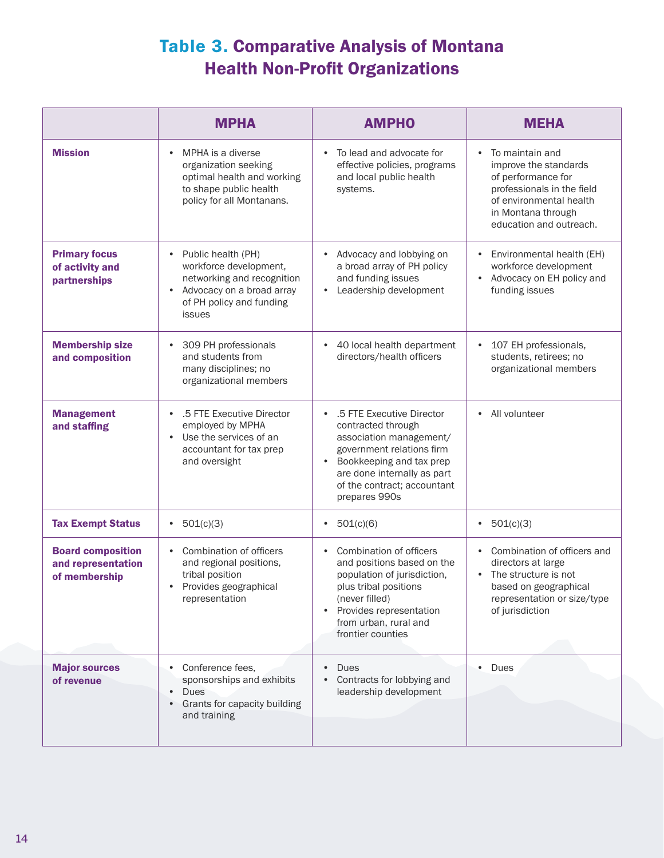## Table 3. Comparative Analysis of Montana Health Non-Profit Organizations

|                                                                 | <b>MPHA</b>                                                                                                                                                             | <b>AMPHO</b>                                                                                                                                                                                                                                 | <b>MEHA</b>                                                                                                                                                                           |
|-----------------------------------------------------------------|-------------------------------------------------------------------------------------------------------------------------------------------------------------------------|----------------------------------------------------------------------------------------------------------------------------------------------------------------------------------------------------------------------------------------------|---------------------------------------------------------------------------------------------------------------------------------------------------------------------------------------|
| <b>Mission</b>                                                  | MPHA is a diverse<br>$\bullet$<br>organization seeking<br>optimal health and working<br>to shape public health<br>policy for all Montanans.                             | To lead and advocate for<br>$\bullet$<br>effective policies, programs<br>and local public health<br>systems.                                                                                                                                 | To maintain and<br>$\bullet$<br>improve the standards<br>of performance for<br>professionals in the field<br>of environmental health<br>in Montana through<br>education and outreach. |
| <b>Primary focus</b><br>of activity and<br>partnerships         | Public health (PH)<br>$\bullet$<br>workforce development,<br>networking and recognition<br>Advocacy on a broad array<br>$\bullet$<br>of PH policy and funding<br>issues | Advocacy and lobbying on<br>a broad array of PH policy<br>and funding issues<br>Leadership development<br>$\bullet$                                                                                                                          | Environmental health (EH)<br>$\bullet$<br>workforce development<br>Advocacy on EH policy and<br>funding issues                                                                        |
| <b>Membership size</b><br>and composition                       | 309 PH professionals<br>$\bullet$<br>and students from<br>many disciplines; no<br>organizational members                                                                | 40 local health department<br>$\bullet$<br>directors/health officers                                                                                                                                                                         | 107 EH professionals,<br>$\bullet$<br>students, retirees; no<br>organizational members                                                                                                |
| <b>Management</b><br>and staffing                               | .5 FTE Executive Director<br>$\bullet$<br>employed by MPHA<br>Use the services of an<br>accountant for tax prep<br>and oversight                                        | .5 FTE Executive Director<br>$\bullet$<br>contracted through<br>association management/<br>government relations firm<br>Bookkeeping and tax prep<br>$\bullet$<br>are done internally as part<br>of the contract; accountant<br>prepares 990s | All volunteer<br>$\bullet$                                                                                                                                                            |
| <b>Tax Exempt Status</b>                                        | 501(c)(3)<br>$\bullet$                                                                                                                                                  | 501(c)(6)<br>$\bullet$                                                                                                                                                                                                                       | 501(c)(3)<br>$\bullet$                                                                                                                                                                |
| <b>Board composition</b><br>and representation<br>of membership | Combination of officers<br>$\bullet$<br>and regional positions,<br>tribal position<br>Provides geographical<br>$\bullet$<br>representation                              | Combination of officers<br>$\bullet$<br>and positions based on the<br>population of jurisdiction,<br>plus tribal positions<br>(never filled)<br>Provides representation<br>$\bullet$<br>from urban, rural and<br>frontier counties           | Combination of officers and<br>$\bullet$<br>directors at large<br>The structure is not<br>$\bullet$<br>based on geographical<br>representation or size/type<br>of jurisdiction        |
| <b>Major sources</b><br>of revenue                              | Conference fees,<br>$\bullet$<br>sponsorships and exhibits<br><b>Dues</b><br>$\bullet$<br>Grants for capacity building<br>and training                                  | <b>Dues</b><br>Contracts for lobbying and<br>leadership development                                                                                                                                                                          | Dues                                                                                                                                                                                  |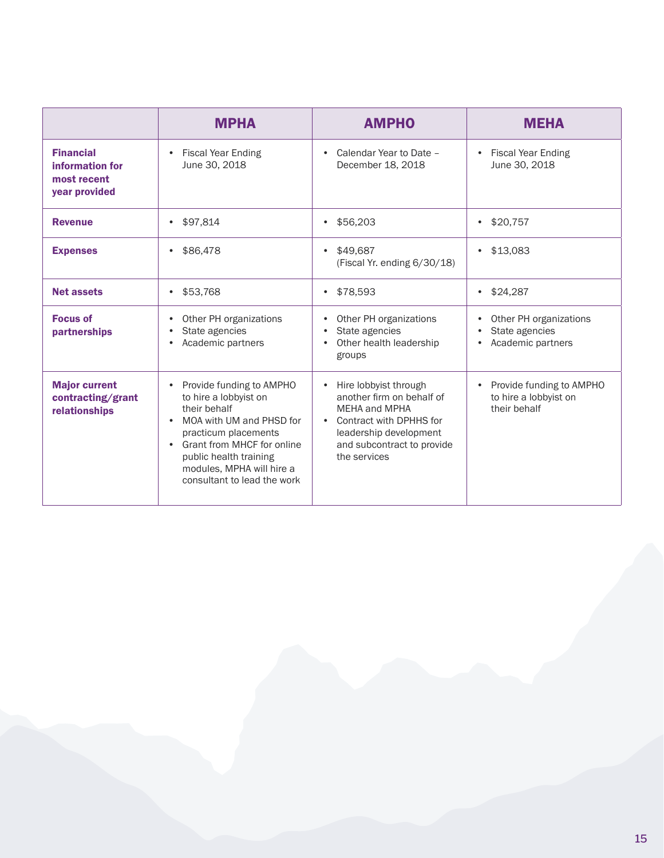|                                                                     | <b>MPHA</b>                                                                                                                                                                                                                                                                      | <b>AMPHO</b>                                                                                                                                                                                     | MEHA                                                                           |
|---------------------------------------------------------------------|----------------------------------------------------------------------------------------------------------------------------------------------------------------------------------------------------------------------------------------------------------------------------------|--------------------------------------------------------------------------------------------------------------------------------------------------------------------------------------------------|--------------------------------------------------------------------------------|
| <b>Financial</b><br>information for<br>most recent<br>year provided | <b>Fiscal Year Ending</b><br>$\bullet$<br>June 30, 2018                                                                                                                                                                                                                          | Calendar Year to Date -<br>$\bullet$<br>December 18, 2018                                                                                                                                        | <b>Fiscal Year Ending</b><br>$\bullet$<br>June 30, 2018                        |
| <b>Revenue</b>                                                      | \$97,814<br>$\bullet$                                                                                                                                                                                                                                                            | \$56,203<br>$\bullet$                                                                                                                                                                            | \$20,757<br>$\bullet$                                                          |
| <b>Expenses</b>                                                     | \$86,478<br>$\bullet$                                                                                                                                                                                                                                                            | \$49,687<br>$\bullet$<br>(Fiscal Yr. ending 6/30/18)                                                                                                                                             | \$13,083<br>$\bullet$                                                          |
| <b>Net assets</b>                                                   | \$53,768<br>$\bullet$                                                                                                                                                                                                                                                            | \$78,593<br>$\bullet$                                                                                                                                                                            | \$24.287<br>$\bullet$                                                          |
| <b>Focus of</b><br>partnerships                                     | Other PH organizations<br>State agencies<br>Academic partners<br>$\bullet$                                                                                                                                                                                                       | Other PH organizations<br>$\bullet$<br>State agencies<br>$\bullet$<br>Other health leadership<br>$\bullet$<br>groups                                                                             | Other PH organizations<br>State agencies<br>$\bullet$<br>Academic partners     |
| <b>Major current</b><br>contracting/grant<br>relationships          | Provide funding to AMPHO<br>$\bullet$<br>to hire a lobbyist on<br>their behalf<br>MOA with UM and PHSD for<br>$\bullet$<br>practicum placements<br>Grant from MHCF for online<br>$\bullet$<br>public health training<br>modules, MPHA will hire a<br>consultant to lead the work | Hire lobbyist through<br>$\bullet$<br>another firm on behalf of<br>MEHA and MPHA<br>Contract with DPHHS for<br>$\bullet$<br>leadership development<br>and subcontract to provide<br>the services | Provide funding to AMPHO<br>$\bullet$<br>to hire a lobbyist on<br>their behalf |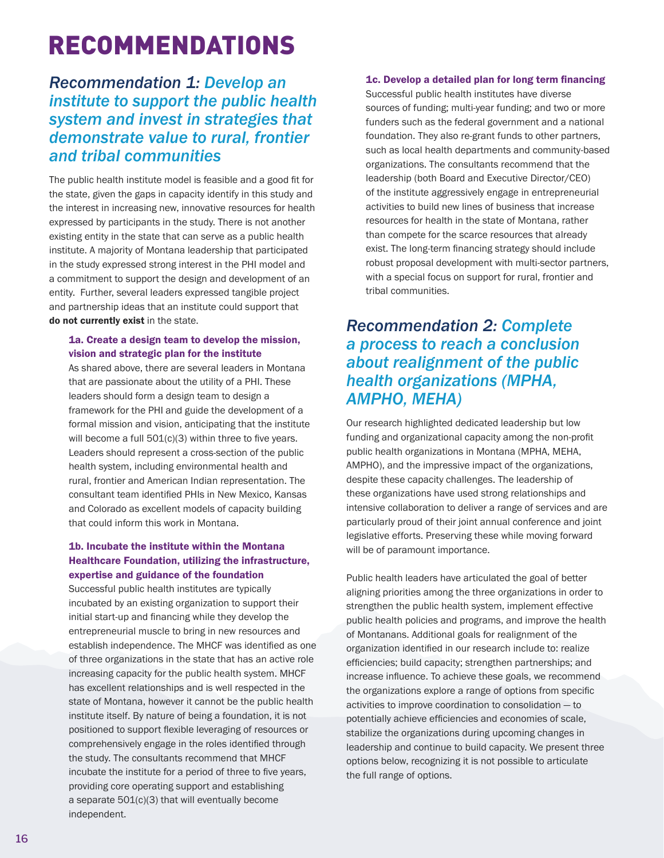## RECOMMENDATIONS

## *Recommendation 1: Develop an institute to support the public health system and invest in strategies that demonstrate value to rural, frontier and tribal communities*

The public health institute model is feasible and a good fit for the state, given the gaps in capacity identify in this study and the interest in increasing new, innovative resources for health expressed by participants in the study. There is not another existing entity in the state that can serve as a public health institute. A majority of Montana leadership that participated in the study expressed strong interest in the PHI model and a commitment to support the design and development of an entity. Further, several leaders expressed tangible project and partnership ideas that an institute could support that do not currently exist in the state.

### 1a. Create a design team to develop the mission, vision and strategic plan for the institute

As shared above, there are several leaders in Montana that are passionate about the utility of a PHI. These leaders should form a design team to design a framework for the PHI and guide the development of a formal mission and vision, anticipating that the institute will become a full 501(c)(3) within three to five years. Leaders should represent a cross-section of the public health system, including environmental health and rural, frontier and American Indian representation. The consultant team identified PHIs in New Mexico, Kansas and Colorado as excellent models of capacity building that could inform this work in Montana.

## 1b. Incubate the institute within the Montana Healthcare Foundation, utilizing the infrastructure, expertise and guidance of the foundation

Successful public health institutes are typically incubated by an existing organization to support their initial start-up and financing while they develop the entrepreneurial muscle to bring in new resources and establish independence. The MHCF was identified as one of three organizations in the state that has an active role increasing capacity for the public health system. MHCF has excellent relationships and is well respected in the state of Montana, however it cannot be the public health institute itself. By nature of being a foundation, it is not positioned to support flexible leveraging of resources or comprehensively engage in the roles identified through the study. The consultants recommend that MHCF incubate the institute for a period of three to five years, providing core operating support and establishing a separate 501(c)(3) that will eventually become independent.

### 1c. Develop a detailed plan for long term financing

Successful public health institutes have diverse sources of funding; multi-year funding; and two or more funders such as the federal government and a national foundation. They also re-grant funds to other partners, such as local health departments and community-based organizations. The consultants recommend that the leadership (both Board and Executive Director/CEO) of the institute aggressively engage in entrepreneurial activities to build new lines of business that increase resources for health in the state of Montana, rather than compete for the scarce resources that already exist. The long-term financing strategy should include robust proposal development with multi-sector partners, with a special focus on support for rural, frontier and tribal communities.

## *Recommendation 2: Complete a process to reach a conclusion about realignment of the public health organizations (MPHA, AMPHO, MEHA)*

Our research highlighted dedicated leadership but low funding and organizational capacity among the non-profit public health organizations in Montana (MPHA, MEHA, AMPHO), and the impressive impact of the organizations, despite these capacity challenges. The leadership of these organizations have used strong relationships and intensive collaboration to deliver a range of services and are particularly proud of their joint annual conference and joint legislative efforts. Preserving these while moving forward will be of paramount importance.

Public health leaders have articulated the goal of better aligning priorities among the three organizations in order to strengthen the public health system, implement effective public health policies and programs, and improve the health of Montanans. Additional goals for realignment of the organization identified in our research include to: realize efficiencies; build capacity; strengthen partnerships; and increase influence. To achieve these goals, we recommend the organizations explore a range of options from specific activities to improve coordination to consolidation — to potentially achieve efficiencies and economies of scale, stabilize the organizations during upcoming changes in leadership and continue to build capacity. We present three options below, recognizing it is not possible to articulate the full range of options.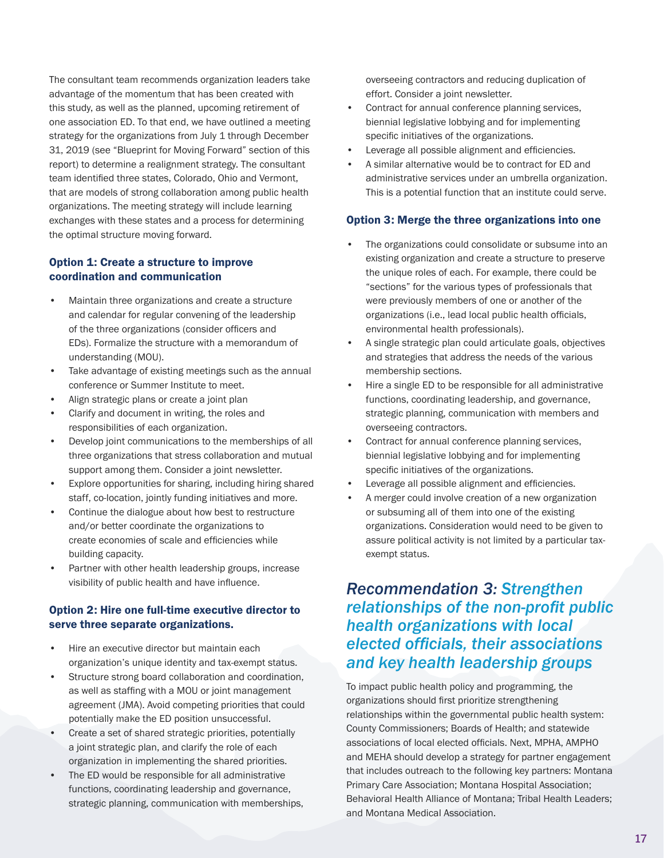The consultant team recommends organization leaders take advantage of the momentum that has been created with this study, as well as the planned, upcoming retirement of one association ED. To that end, we have outlined a meeting strategy for the organizations from July 1 through December 31, 2019 (see "Blueprint for Moving Forward" section of this report) to determine a realignment strategy. The consultant team identified three states, Colorado, Ohio and Vermont, that are models of strong collaboration among public health organizations. The meeting strategy will include learning exchanges with these states and a process for determining the optimal structure moving forward.

### Option 1: Create a structure to improve coordination and communication

- Maintain three organizations and create a structure and calendar for regular convening of the leadership of the three organizations (consider officers and EDs). Formalize the structure with a memorandum of understanding (MOU).
- Take advantage of existing meetings such as the annual conference or Summer Institute to meet.
- Align strategic plans or create a joint plan
- Clarify and document in writing, the roles and responsibilities of each organization.
- Develop joint communications to the memberships of all three organizations that stress collaboration and mutual support among them. Consider a joint newsletter.
- Explore opportunities for sharing, including hiring shared staff, co-location, jointly funding initiatives and more.
- Continue the dialogue about how best to restructure and/or better coordinate the organizations to create economies of scale and efficiencies while building capacity.
- Partner with other health leadership groups, increase visibility of public health and have influence.

### Option 2: Hire one full-time executive director to serve three separate organizations.

- Hire an executive director but maintain each organization's unique identity and tax-exempt status.
- Structure strong board collaboration and coordination, as well as staffing with a MOU or joint management agreement (JMA). Avoid competing priorities that could potentially make the ED position unsuccessful.
- Create a set of shared strategic priorities, potentially a joint strategic plan, and clarify the role of each organization in implementing the shared priorities.
- The ED would be responsible for all administrative functions, coordinating leadership and governance, strategic planning, communication with memberships,

overseeing contractors and reducing duplication of effort. Consider a joint newsletter.

- Contract for annual conference planning services, biennial legislative lobbying and for implementing specific initiatives of the organizations.
- Leverage all possible alignment and efficiencies.
- A similar alternative would be to contract for ED and administrative services under an umbrella organization. This is a potential function that an institute could serve.

#### Option 3: Merge the three organizations into one

- The organizations could consolidate or subsume into an existing organization and create a structure to preserve the unique roles of each. For example, there could be "sections" for the various types of professionals that were previously members of one or another of the organizations (i.e., lead local public health officials, environmental health professionals).
- A single strategic plan could articulate goals, objectives and strategies that address the needs of the various membership sections.
- Hire a single ED to be responsible for all administrative functions, coordinating leadership, and governance, strategic planning, communication with members and overseeing contractors.
- Contract for annual conference planning services, biennial legislative lobbying and for implementing specific initiatives of the organizations.
- Leverage all possible alignment and efficiencies.
- A merger could involve creation of a new organization or subsuming all of them into one of the existing organizations. Consideration would need to be given to assure political activity is not limited by a particular taxexempt status.

## *Recommendation 3: Strengthen relationships of the non-profit public health organizations with local elected officials, their associations and key health leadership groups*

To impact public health policy and programming, the organizations should first prioritize strengthening relationships within the governmental public health system: County Commissioners; Boards of Health; and statewide associations of local elected officials. Next, MPHA, AMPHO and MEHA should develop a strategy for partner engagement that includes outreach to the following key partners: Montana Primary Care Association; Montana Hospital Association; Behavioral Health Alliance of Montana; Tribal Health Leaders; and Montana Medical Association.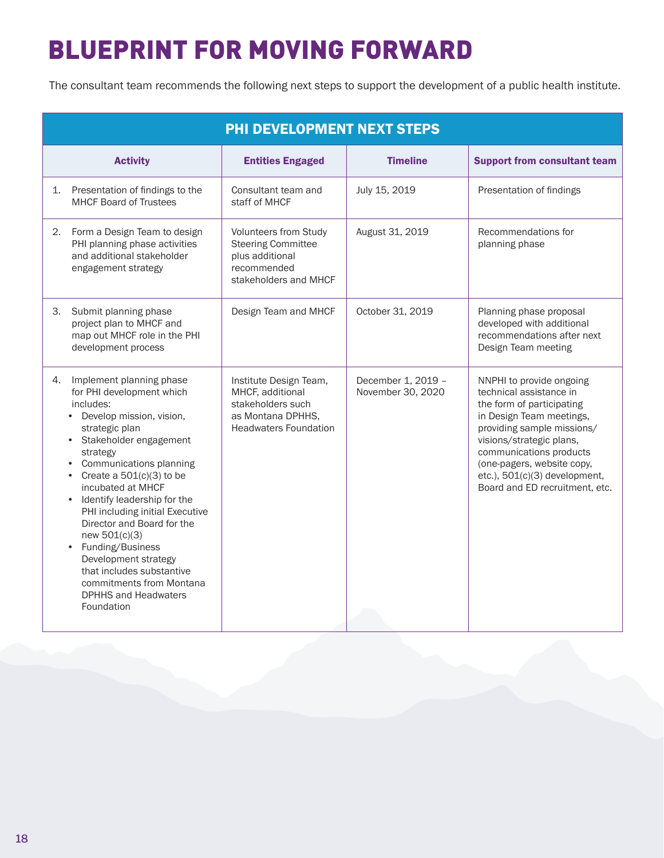# BLUEPRINT FOR MOVING FORWARD

The consultant team recommends the following next steps to support the development of a public health institute.

| <b>PHI DEVELOPMENT NEXT STEPS</b>                                                                                                                                                                                                                                                                                                                                                                                                                                                                                                |                                                                                                                      |                                         |                                                                                                                                                                                                                                                                                                    |
|----------------------------------------------------------------------------------------------------------------------------------------------------------------------------------------------------------------------------------------------------------------------------------------------------------------------------------------------------------------------------------------------------------------------------------------------------------------------------------------------------------------------------------|----------------------------------------------------------------------------------------------------------------------|-----------------------------------------|----------------------------------------------------------------------------------------------------------------------------------------------------------------------------------------------------------------------------------------------------------------------------------------------------|
| <b>Activity</b>                                                                                                                                                                                                                                                                                                                                                                                                                                                                                                                  | <b>Entities Engaged</b>                                                                                              | <b>Timeline</b>                         | <b>Support from consultant team</b>                                                                                                                                                                                                                                                                |
| Presentation of findings to the<br>1.<br><b>MHCF Board of Trustees</b>                                                                                                                                                                                                                                                                                                                                                                                                                                                           | Consultant team and<br>staff of MHCF                                                                                 | July 15, 2019                           | Presentation of findings                                                                                                                                                                                                                                                                           |
| Form a Design Team to design<br>2.<br>PHI planning phase activities<br>and additional stakeholder<br>engagement strategy                                                                                                                                                                                                                                                                                                                                                                                                         | <b>Volunteers from Study</b><br><b>Steering Committee</b><br>plus additional<br>recommended<br>stakeholders and MHCF | August 31, 2019                         | Recommendations for<br>planning phase                                                                                                                                                                                                                                                              |
| Submit planning phase<br>З.<br>project plan to MHCF and<br>map out MHCF role in the PHI<br>development process                                                                                                                                                                                                                                                                                                                                                                                                                   | Design Team and MHCF                                                                                                 | October 31, 2019                        | Planning phase proposal<br>developed with additional<br>recommendations after next<br>Design Team meeting                                                                                                                                                                                          |
| Implement planning phase<br>4.<br>for PHI development which<br>includes:<br>Develop mission, vision,<br>strategic plan<br>Stakeholder engagement<br>strategy<br>Communications planning<br>$\bullet$<br>Create a $501(c)(3)$ to be<br>$\bullet$<br>incubated at MHCF<br>Identify leadership for the<br>PHI including initial Executive<br>Director and Board for the<br>new 501(c)(3)<br>Funding/Business<br>Development strategy<br>that includes substantive<br>commitments from Montana<br>DPHHS and Headwaters<br>Foundation | Institute Design Team,<br>MHCF, additional<br>stakeholders such<br>as Montana DPHHS,<br><b>Headwaters Foundation</b> | December 1, 2019 -<br>November 30, 2020 | NNPHI to provide ongoing<br>technical assistance in<br>the form of participating<br>in Design Team meetings,<br>providing sample missions/<br>visions/strategic plans,<br>communications products<br>(one-pagers, website copy,<br>etc.), 501(c)(3) development,<br>Board and ED recruitment, etc. |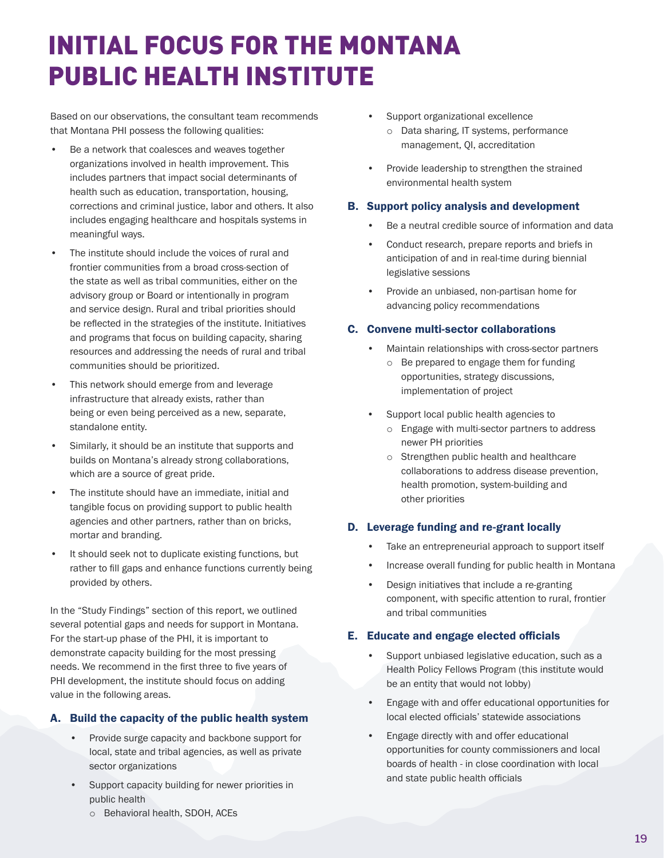## INITIAL FOCUS FOR THE MONTANA PUBLIC HEALTH INSTITUTE

Based on our observations, the consultant team recommends that Montana PHI possess the following qualities:

- Be a network that coalesces and weaves together organizations involved in health improvement. This includes partners that impact social determinants of health such as education, transportation, housing, corrections and criminal justice, labor and others. It also includes engaging healthcare and hospitals systems in meaningful ways.
- The institute should include the voices of rural and frontier communities from a broad cross-section of the state as well as tribal communities, either on the advisory group or Board or intentionally in program and service design. Rural and tribal priorities should be reflected in the strategies of the institute. Initiatives and programs that focus on building capacity, sharing resources and addressing the needs of rural and tribal communities should be prioritized.
- This network should emerge from and leverage infrastructure that already exists, rather than being or even being perceived as a new, separate, standalone entity.
- Similarly, it should be an institute that supports and builds on Montana's already strong collaborations, which are a source of great pride.
- The institute should have an immediate, initial and tangible focus on providing support to public health agencies and other partners, rather than on bricks, mortar and branding.
- It should seek not to duplicate existing functions, but rather to fill gaps and enhance functions currently being provided by others.

In the "Study Findings" section of this report, we outlined several potential gaps and needs for support in Montana. For the start-up phase of the PHI, it is important to demonstrate capacity building for the most pressing needs. We recommend in the first three to five years of PHI development, the institute should focus on adding value in the following areas.

### A. Build the capacity of the public health system

- Provide surge capacity and backbone support for local, state and tribal agencies, as well as private sector organizations
- Support capacity building for newer priorities in public health
	- o Behavioral health, SDOH, ACEs
- Support organizational excellence o Data sharing, IT systems, performance management, QI, accreditation
- Provide leadership to strengthen the strained environmental health system

#### B. Support policy analysis and development

- Be a neutral credible source of information and data
- Conduct research, prepare reports and briefs in anticipation of and in real-time during biennial legislative sessions
- Provide an unbiased, non-partisan home for advancing policy recommendations

#### C. Convene multi-sector collaborations

- Maintain relationships with cross-sector partners
	- o Be prepared to engage them for funding opportunities, strategy discussions, implementation of project
- Support local public health agencies to
	- o Engage with multi-sector partners to address newer PH priorities
	- o Strengthen public health and healthcare collaborations to address disease prevention, health promotion, system-building and other priorities

### D. Leverage funding and re-grant locally

- Take an entrepreneurial approach to support itself
- Increase overall funding for public health in Montana
- Design initiatives that include a re-granting component, with specific attention to rural, frontier and tribal communities

#### E. Educate and engage elected officials

- Support unbiased legislative education, such as a Health Policy Fellows Program (this institute would be an entity that would not lobby)
- Engage with and offer educational opportunities for local elected officials' statewide associations
- Engage directly with and offer educational opportunities for county commissioners and local boards of health - in close coordination with local and state public health officials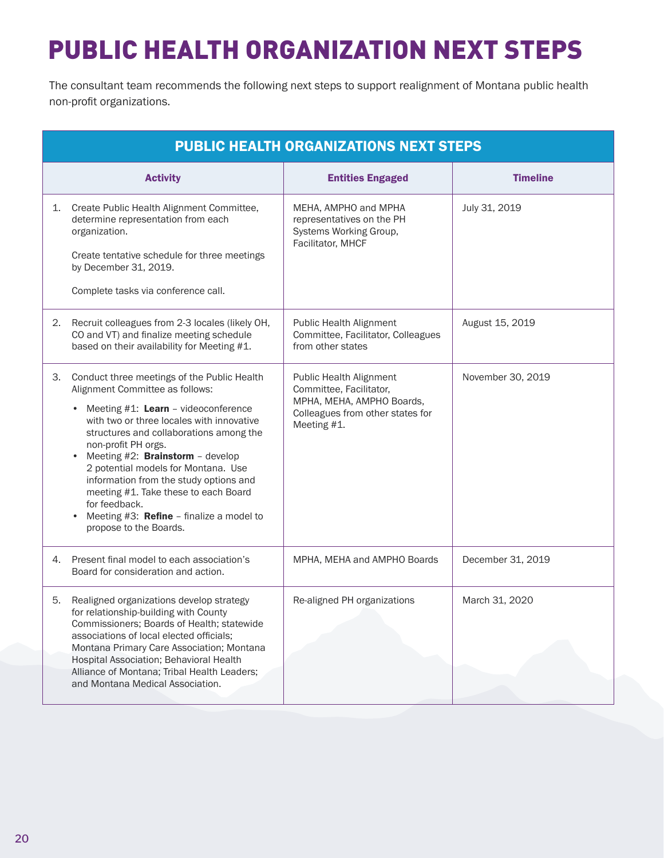# PUBLIC HEALTH ORGANIZATION NEXT STEPS

The consultant team recommends the following next steps to support realignment of Montana public health non-profit organizations.

| <b>PUBLIC HEALTH ORGANIZATIONS NEXT STEPS</b> |                                                                                                                                                                                                                                                                                                                                                                                                                                                                                                                                              |                                                                                                                                    |                   |
|-----------------------------------------------|----------------------------------------------------------------------------------------------------------------------------------------------------------------------------------------------------------------------------------------------------------------------------------------------------------------------------------------------------------------------------------------------------------------------------------------------------------------------------------------------------------------------------------------------|------------------------------------------------------------------------------------------------------------------------------------|-------------------|
|                                               | <b>Activity</b>                                                                                                                                                                                                                                                                                                                                                                                                                                                                                                                              | <b>Entities Engaged</b>                                                                                                            | <b>Timeline</b>   |
| 1.                                            | Create Public Health Alignment Committee,<br>determine representation from each<br>organization.<br>Create tentative schedule for three meetings<br>by December 31, 2019.<br>Complete tasks via conference call.                                                                                                                                                                                                                                                                                                                             | MEHA, AMPHO and MPHA<br>representatives on the PH<br>Systems Working Group,<br>Facilitator, MHCF                                   | July 31, 2019     |
| 2.                                            | Recruit colleagues from 2-3 locales (likely OH,<br>CO and VT) and finalize meeting schedule<br>based on their availability for Meeting #1.                                                                                                                                                                                                                                                                                                                                                                                                   | Public Health Alignment<br>Committee, Facilitator, Colleagues<br>from other states                                                 | August 15, 2019   |
| 3.                                            | Conduct three meetings of the Public Health<br>Alignment Committee as follows:<br>Meeting $#1$ : Learn - videoconference<br>$\bullet$<br>with two or three locales with innovative<br>structures and collaborations among the<br>non-profit PH orgs.<br>Meeting $#2$ : <b>Brainstorm</b> - develop<br>$\bullet$<br>2 potential models for Montana. Use<br>information from the study options and<br>meeting #1. Take these to each Board<br>for feedback.<br>Meeting #3: Refine - finalize a model to<br>$\bullet$<br>propose to the Boards. | Public Health Alignment<br>Committee, Facilitator,<br>MPHA, MEHA, AMPHO Boards,<br>Colleagues from other states for<br>Meeting #1. | November 30, 2019 |
| 4.                                            | Present final model to each association's<br>Board for consideration and action.                                                                                                                                                                                                                                                                                                                                                                                                                                                             | MPHA, MEHA and AMPHO Boards                                                                                                        | December 31, 2019 |
| 5.                                            | Realigned organizations develop strategy<br>for relationship-building with County<br>Commissioners; Boards of Health; statewide<br>associations of local elected officials:<br>Montana Primary Care Association; Montana<br>Hospital Association; Behavioral Health<br>Alliance of Montana; Tribal Health Leaders;<br>and Montana Medical Association.                                                                                                                                                                                       | Re-aligned PH organizations                                                                                                        | March 31, 2020    |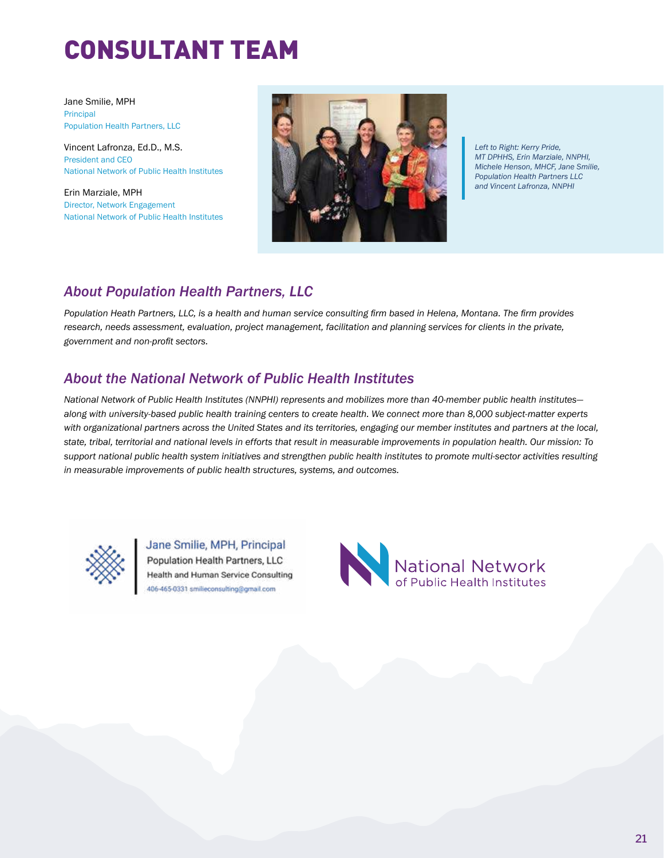## CONSULTANT TEAM

Jane Smilie, MPH Principal Population Health Partners, LLC

Vincent Lafronza, Ed.D., M.S. President and CEO National Network of Public Health Institutes

Erin Marziale, MPH Director, Network Engagement National Network of Public Health Institutes

![](_page_24_Picture_4.jpeg)

*Left to Right: Kerry Pride, MT DPHHS, Erin Marziale, NNPHI, Michele Henson, MHCF, Jane Smilie, Population Health Partners LLC and Vincent Lafronza, NNPHI*

## *About Population Health Partners, LLC*

*Population Heath Partners, LLC, is a health and human service consulting firm based in Helena, Montana. The firm provides research, needs assessment, evaluation, project management, facilitation and planning services for clients in the private, government and non-profit sectors.* 

## *About the National Network of Public Health Institutes*

*National Network of Public Health Institutes (NNPHI) represents and mobilizes more than 40-member public health institutes along with university-based public health training centers to create health. We connect more than 8,000 subject-matter experts with organizational partners across the United States and its territories, engaging our member institutes and partners at the local, state, tribal, territorial and national levels in efforts that result in measurable improvements in population health. Our mission: To support national public health system initiatives and strengthen public health institutes to promote multi-sector activities resulting in measurable improvements of public health structures, systems, and outcomes.*

![](_page_24_Picture_10.jpeg)

Jane Smilie, MPH, Principal Population Health Partners, LLC Health and Human Service Consulting 406-465-0331 smilieconsulting@gmail.com

![](_page_24_Picture_12.jpeg)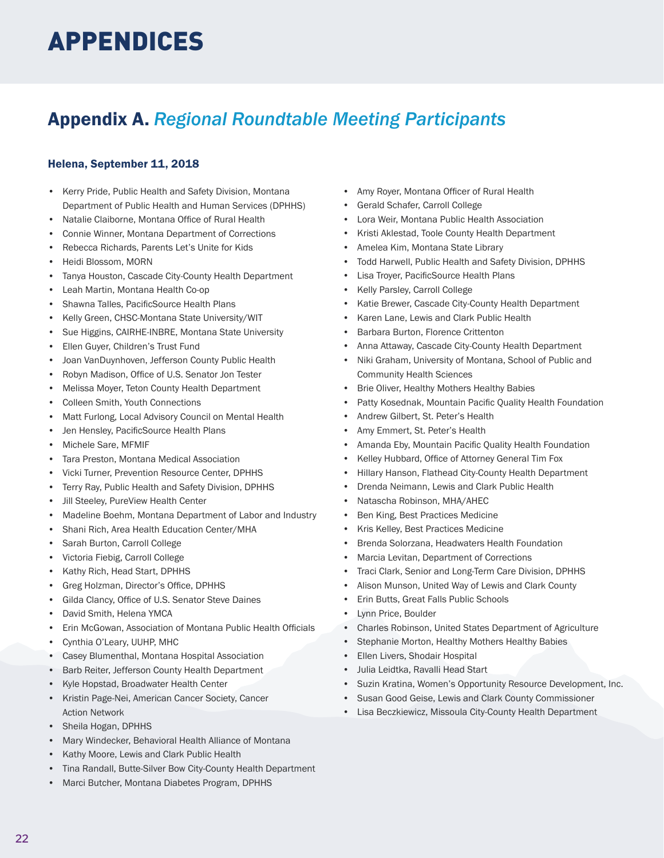## APPENDICES

## Appendix A. *Regional Roundtable Meeting Participants*

## Helena, September 11, 2018

- Kerry Pride, Public Health and Safety Division, Montana Department of Public Health and Human Services (DPHHS)
- Natalie Claiborne, Montana Office of Rural Health
- Connie Winner, Montana Department of Corrections
- Rebecca Richards, Parents Let's Unite for Kids
- Heidi Blossom, MORN
- Tanya Houston, Cascade City-County Health Department
- Leah Martin, Montana Health Co-op
- Shawna Talles, PacificSource Health Plans
- Kelly Green, CHSC-Montana State University/WIT
- Sue Higgins, CAIRHE-INBRE, Montana State University
- Ellen Guyer, Children's Trust Fund
- Joan VanDuynhoven, Jefferson County Public Health
- Robyn Madison, Office of U.S. Senator Jon Tester
- Melissa Moyer, Teton County Health Department
- Colleen Smith, Youth Connections
- Matt Furlong, Local Advisory Council on Mental Health
- Jen Hensley, PacificSource Health Plans
- Michele Sare, MFMIF
- Tara Preston, Montana Medical Association
- Vicki Turner, Prevention Resource Center, DPHHS
- Terry Ray, Public Health and Safety Division, DPHHS
- Jill Steeley, PureView Health Center
- Madeline Boehm, Montana Department of Labor and Industry
- Shani Rich, Area Health Education Center/MHA
- Sarah Burton, Carroll College
- Victoria Fiebig, Carroll College
- Kathy Rich, Head Start, DPHHS
- Greg Holzman, Director's Office, DPHHS
- Gilda Clancy, Office of U.S. Senator Steve Daines
- David Smith, Helena YMCA
- Erin McGowan, Association of Montana Public Health Officials
- Cynthia O'Leary, UUHP, MHC
- Casey Blumenthal, Montana Hospital Association
- Barb Reiter, Jefferson County Health Department
- Kyle Hopstad, Broadwater Health Center
- Kristin Page-Nei, American Cancer Society, Cancer Action Network
- Sheila Hogan, DPHHS
- Mary Windecker, Behavioral Health Alliance of Montana
- Kathy Moore, Lewis and Clark Public Health
- Tina Randall, Butte-Silver Bow City-County Health Department
- Marci Butcher, Montana Diabetes Program, DPHHS
- Amy Royer, Montana Officer of Rural Health
- Gerald Schafer, Carroll College
- Lora Weir, Montana Public Health Association
- Kristi Aklestad, Toole County Health Department
- Amelea Kim, Montana State Library
- Todd Harwell, Public Health and Safety Division, DPHHS
- Lisa Troyer, PacificSource Health Plans
- Kelly Parsley, Carroll College
- Katie Brewer, Cascade City-County Health Department
- Karen Lane, Lewis and Clark Public Health
- Barbara Burton, Florence Crittenton
- Anna Attaway, Cascade City-County Health Department
- Niki Graham, University of Montana, School of Public and Community Health Sciences
- Brie Oliver, Healthy Mothers Healthy Babies
- Patty Kosednak, Mountain Pacific Quality Health Foundation
- Andrew Gilbert, St. Peter's Health
- Amy Emmert, St. Peter's Health
- Amanda Eby, Mountain Pacific Quality Health Foundation
- Kelley Hubbard, Office of Attorney General Tim Fox
- Hillary Hanson, Flathead City-County Health Department
- Drenda Neimann, Lewis and Clark Public Health
- Natascha Robinson, MHA/AHEC
- Ben King, Best Practices Medicine
- Kris Kelley, Best Practices Medicine
- Brenda Solorzana, Headwaters Health Foundation
- Marcia Levitan, Department of Corrections
- Traci Clark, Senior and Long-Term Care Division, DPHHS
- Alison Munson, United Way of Lewis and Clark County
- Erin Butts, Great Falls Public Schools
- Lynn Price, Boulder
- Charles Robinson, United States Department of Agriculture
- Stephanie Morton, Healthy Mothers Healthy Babies
- Ellen Livers, Shodair Hospital
- Julia Leidtka, Ravalli Head Start
- Suzin Kratina, Women's Opportunity Resource Development, Inc.
- Susan Good Geise, Lewis and Clark County Commissioner
- Lisa Beczkiewicz, Missoula City-County Health Department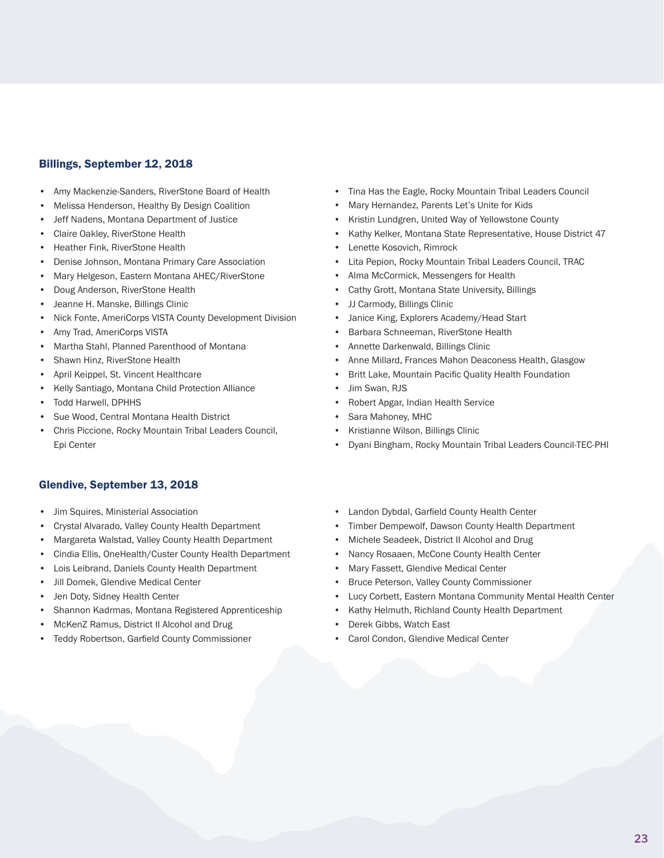### Billings, September 12, 2018

- Amy Mackenzie-Sanders, RiverStone Board of Health
- Melissa Henderson, Healthy By Design Coalition
- Jeff Nadens, Montana Department of Justice
- Claire Oakley, RiverStone Health
- Heather Fink, RiverStone Health
- Denise Johnson, Montana Primary Care Association
- Mary Helgeson, Eastern Montana AHEC/RiverStone
- Doug Anderson, RiverStone Health
- Jeanne H. Manske, Billings Clinic
- Nick Fonte, AmeriCorps VISTA County Development Division
- Amy Trad, AmeriCorps VISTA
- Martha Stahl, Planned Parenthood of Montana
- Shawn Hinz, RiverStone Health
- April Keippel, St. Vincent Healthcare
- Kelly Santiago, Montana Child Protection Alliance
- Todd Harwell, DPHHS
- Sue Wood, Central Montana Health District
- Chris Piccione, Rocky Mountain Tribal Leaders Council, Epi Center

#### Glendive, September 13, 2018

- Jim Squires, Ministerial Association
- Crystal Alvarado, Valley County Health Department
- Margareta Walstad, Valley County Health Department
- Cindia Ellis, OneHealth/Custer County Health Department
- Lois Leibrand, Daniels County Health Department
- Jill Domek, Glendive Medical Center
- Jen Doty, Sidney Health Center
- Shannon Kadrmas, Montana Registered Apprenticeship
- McKenZ Ramus, District II Alcohol and Drug
- Teddy Robertson, Garfield County Commissioner
- Tina Has the Eagle, Rocky Mountain Tribal Leaders Council
- Mary Hernandez, Parents Let's Unite for Kids
- Kristin Lundgren, United Way of Yellowstone County
- Kathy Kelker, Montana State Representative, House District 47
- Lenette Kosovich, Rimrock
- Lita Pepion, Rocky Mountain Tribal Leaders Council, TRAC
- Alma McCormick, Messengers for Health
- Cathy Grott, Montana State University, Billings
- JJ Carmody, Billings Clinic
- Janice King, Explorers Academy/Head Start
- Barbara Schneeman, RiverStone Health
- Annette Darkenwald, Billings Clinic
- Anne Millard, Frances Mahon Deaconess Health, Glasgow
- Britt Lake, Mountain Pacific Quality Health Foundation
- Jim Swan, RJS
- Robert Apgar, Indian Health Service
- Sara Mahoney, MHC
- Kristianne Wilson, Billings Clinic
- Dyani Bingham, Rocky Mountain Tribal Leaders Council-TEC-PHI
- Landon Dybdal, Garfield County Health Center
- Timber Dempewolf, Dawson County Health Department
- Michele Seadeek, District II Alcohol and Drug
- Nancy Rosaaen, McCone County Health Center
- Mary Fassett, Glendive Medical Center
- Bruce Peterson, Valley County Commissioner
- Lucy Corbett, Eastern Montana Community Mental Health Center
- Kathy Helmuth, Richland County Health Department
- Derek Gibbs, Watch East
- Carol Condon, Glendive Medical Center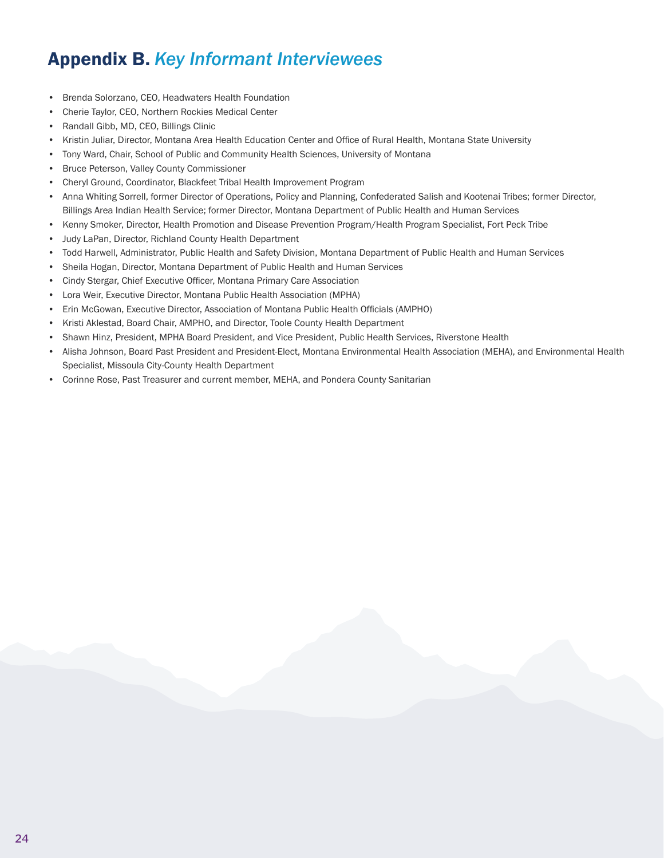## Appendix B. *Key Informant Interviewees*

- Brenda Solorzano, CEO, Headwaters Health Foundation
- Cherie Taylor, CEO, Northern Rockies Medical Center
- Randall Gibb, MD, CEO, Billings Clinic
- Kristin Juliar, Director, Montana Area Health Education Center and Office of Rural Health, Montana State University
- Tony Ward, Chair, School of Public and Community Health Sciences, University of Montana
- Bruce Peterson, Valley County Commissioner
- Cheryl Ground, Coordinator, Blackfeet Tribal Health Improvement Program
- Anna Whiting Sorrell, former Director of Operations, Policy and Planning, Confederated Salish and Kootenai Tribes; former Director, Billings Area Indian Health Service; former Director, Montana Department of Public Health and Human Services
- Kenny Smoker, Director, Health Promotion and Disease Prevention Program/Health Program Specialist, Fort Peck Tribe
- Judy LaPan, Director, Richland County Health Department
- Todd Harwell, Administrator, Public Health and Safety Division, Montana Department of Public Health and Human Services
- Sheila Hogan, Director, Montana Department of Public Health and Human Services
- Cindy Stergar, Chief Executive Officer, Montana Primary Care Association
- Lora Weir, Executive Director, Montana Public Health Association (MPHA)
- Erin McGowan, Executive Director, Association of Montana Public Health Officials (AMPHO)
- Kristi Aklestad, Board Chair, AMPHO, and Director, Toole County Health Department
- Shawn Hinz, President, MPHA Board President, and Vice President, Public Health Services, Riverstone Health
- Alisha Johnson, Board Past President and President-Elect, Montana Environmental Health Association (MEHA), and Environmental Health Specialist, Missoula City-County Health Department
- Corinne Rose, Past Treasurer and current member, MEHA, and Pondera County Sanitarian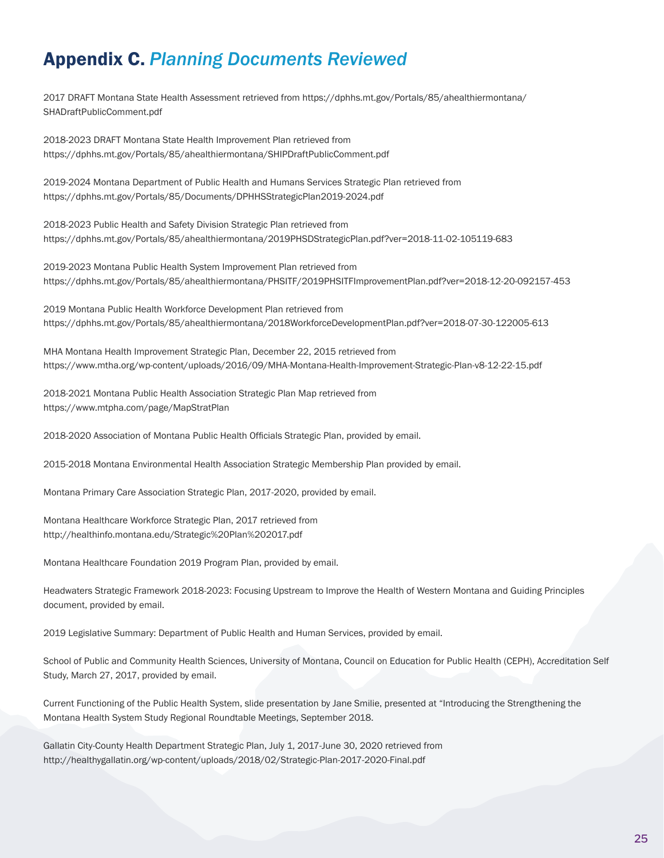## Appendix C. *Planning Documents Reviewed*

2017 DRAFT Montana State Health Assessment retrieved from https://dphhs.mt.gov/Portals/85/ahealthiermontana/ SHADraftPublicComment.pdf

2018-2023 DRAFT Montana State Health Improvement Plan retrieved from https://dphhs.mt.gov/Portals/85/ahealthiermontana/SHIPDraftPublicComment.pdf

2019-2024 Montana Department of Public Health and Humans Services Strategic Plan retrieved from https://dphhs.mt.gov/Portals/85/Documents/DPHHSStrategicPlan2019-2024.pdf

2018-2023 Public Health and Safety Division Strategic Plan retrieved from https://dphhs.mt.gov/Portals/85/ahealthiermontana/2019PHSDStrategicPlan.pdf?ver=2018-11-02-105119-683

2019-2023 Montana Public Health System Improvement Plan retrieved from https://dphhs.mt.gov/Portals/85/ahealthiermontana/PHSITF/2019PHSITFImprovementPlan.pdf?ver=2018-12-20-092157-453

2019 Montana Public Health Workforce Development Plan retrieved from https://dphhs.mt.gov/Portals/85/ahealthiermontana/2018WorkforceDevelopmentPlan.pdf?ver=2018-07-30-122005-613

MHA Montana Health Improvement Strategic Plan, December 22, 2015 retrieved from https://www.mtha.org/wp-content/uploads/2016/09/MHA-Montana-Health-Improvement-Strategic-Plan-v8-12-22-15.pdf

2018-2021 Montana Public Health Association Strategic Plan Map retrieved from https://www.mtpha.com/page/MapStratPlan

2018-2020 Association of Montana Public Health Officials Strategic Plan, provided by email.

2015-2018 Montana Environmental Health Association Strategic Membership Plan provided by email.

Montana Primary Care Association Strategic Plan, 2017-2020, provided by email.

Montana Healthcare Workforce Strategic Plan, 2017 retrieved from http://healthinfo.montana.edu/Strategic%20Plan%202017.pdf

Montana Healthcare Foundation 2019 Program Plan, provided by email.

Headwaters Strategic Framework 2018-2023: Focusing Upstream to Improve the Health of Western Montana and Guiding Principles document, provided by email.

2019 Legislative Summary: Department of Public Health and Human Services, provided by email.

School of Public and Community Health Sciences, University of Montana, Council on Education for Public Health (CEPH), Accreditation Self Study, March 27, 2017, provided by email.

Current Functioning of the Public Health System, slide presentation by Jane Smilie, presented at "Introducing the Strengthening the Montana Health System Study Regional Roundtable Meetings, September 2018.

Gallatin City-County Health Department Strategic Plan, July 1, 2017-June 30, 2020 retrieved from http://healthygallatin.org/wp-content/uploads/2018/02/Strategic-Plan-2017-2020-Final.pdf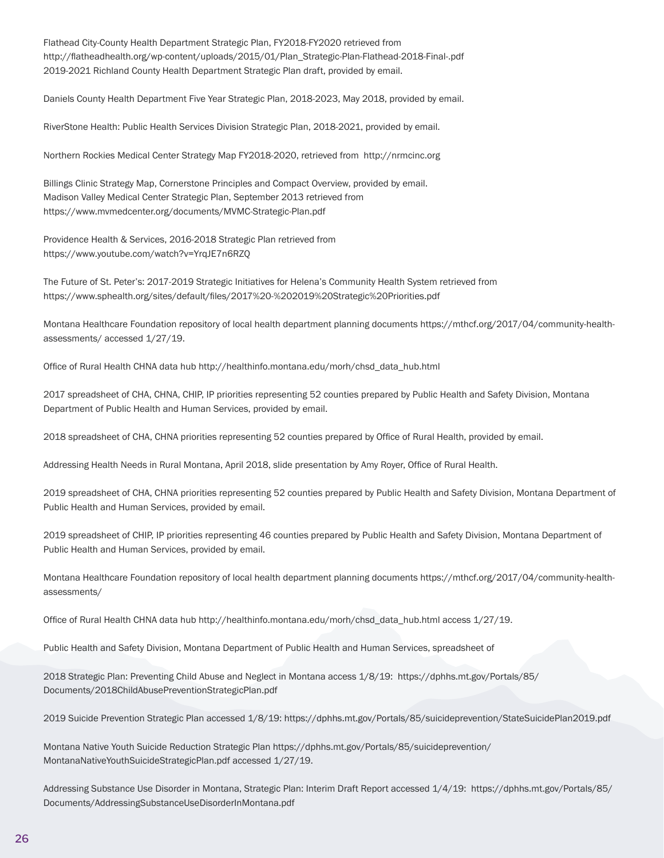Flathead City-County Health Department Strategic Plan, FY2018-FY2020 retrieved from http://flatheadhealth.org/wp-content/uploads/2015/01/Plan\_Strategic-Plan-Flathead-2018-Final-.pdf 2019-2021 Richland County Health Department Strategic Plan draft, provided by email.

Daniels County Health Department Five Year Strategic Plan, 2018-2023, May 2018, provided by email.

RiverStone Health: Public Health Services Division Strategic Plan, 2018-2021, provided by email.

Northern Rockies Medical Center Strategy Map FY2018-2020, retrieved from http://nrmcinc.org

Billings Clinic Strategy Map, Cornerstone Principles and Compact Overview, provided by email. Madison Valley Medical Center Strategic Plan, September 2013 retrieved from https://www.mvmedcenter.org/documents/MVMC-Strategic-Plan.pdf

Providence Health & Services, 2016-2018 Strategic Plan retrieved from https://www.youtube.com/watch?v=YrqJE7n6RZQ

The Future of St. Peter's: 2017-2019 Strategic Initiatives for Helena's Community Health System retrieved from https://www.sphealth.org/sites/default/files/2017%20-%202019%20Strategic%20Priorities.pdf

Montana Healthcare Foundation repository of local health department planning documents https://mthcf.org/2017/04/community-healthassessments/ accessed 1/27/19.

Office of Rural Health CHNA data hub http://healthinfo.montana.edu/morh/chsd\_data\_hub.html

2017 spreadsheet of CHA, CHNA, CHIP, IP priorities representing 52 counties prepared by Public Health and Safety Division, Montana Department of Public Health and Human Services, provided by email.

2018 spreadsheet of CHA, CHNA priorities representing 52 counties prepared by Office of Rural Health, provided by email.

Addressing Health Needs in Rural Montana, April 2018, slide presentation by Amy Royer, Office of Rural Health.

2019 spreadsheet of CHA, CHNA priorities representing 52 counties prepared by Public Health and Safety Division, Montana Department of Public Health and Human Services, provided by email.

2019 spreadsheet of CHIP, IP priorities representing 46 counties prepared by Public Health and Safety Division, Montana Department of Public Health and Human Services, provided by email.

Montana Healthcare Foundation repository of local health department planning documents https://mthcf.org/2017/04/community-healthassessments/

Office of Rural Health CHNA data hub http://healthinfo.montana.edu/morh/chsd\_data\_hub.html access 1/27/19.

Public Health and Safety Division, Montana Department of Public Health and Human Services, spreadsheet of

2018 Strategic Plan: Preventing Child Abuse and Neglect in Montana access 1/8/19: https://dphhs.mt.gov/Portals/85/ Documents/2018ChildAbusePreventionStrategicPlan.pdf

2019 Suicide Prevention Strategic Plan accessed 1/8/19: https://dphhs.mt.gov/Portals/85/suicideprevention/StateSuicidePlan2019.pdf

Montana Native Youth Suicide Reduction Strategic Plan https://dphhs.mt.gov/Portals/85/suicideprevention/ MontanaNativeYouthSuicideStrategicPlan.pdf accessed 1/27/19.

Addressing Substance Use Disorder in Montana, Strategic Plan: Interim Draft Report accessed 1/4/19: https://dphhs.mt.gov/Portals/85/ Documents/AddressingSubstanceUseDisorderInMontana.pdf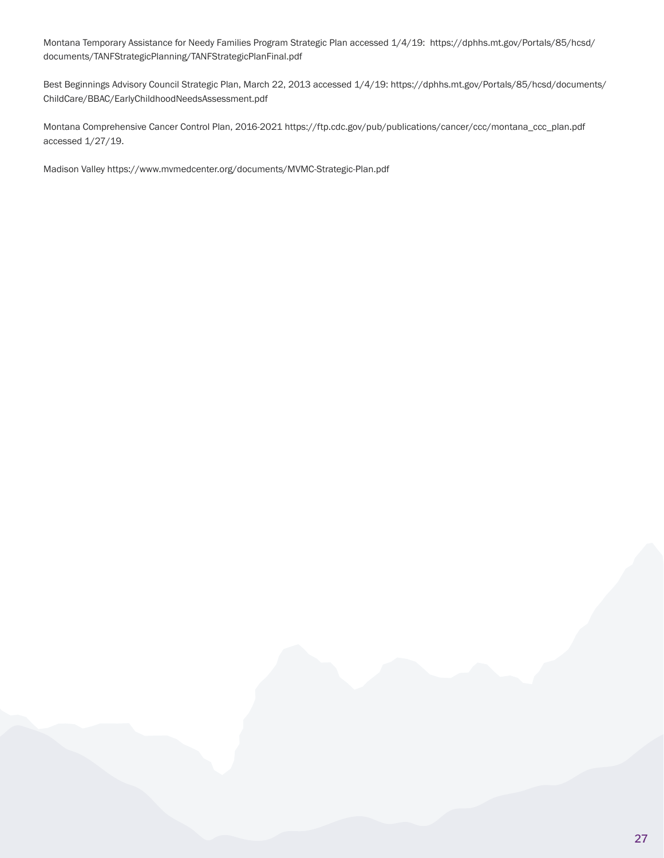Montana Temporary Assistance for Needy Families Program Strategic Plan accessed 1/4/19: https://dphhs.mt.gov/Portals/85/hcsd/ documents/TANFStrategicPlanning/TANFStrategicPlanFinal.pdf

Best Beginnings Advisory Council Strategic Plan, March 22, 2013 accessed 1/4/19: https://dphhs.mt.gov/Portals/85/hcsd/documents/ ChildCare/BBAC/EarlyChildhoodNeedsAssessment.pdf

Montana Comprehensive Cancer Control Plan, 2016-2021 https://ftp.cdc.gov/pub/publications/cancer/ccc/montana\_ccc\_plan.pdf accessed 1/27/19.

Madison Valley https://www.mvmedcenter.org/documents/MVMC-Strategic-Plan.pdf